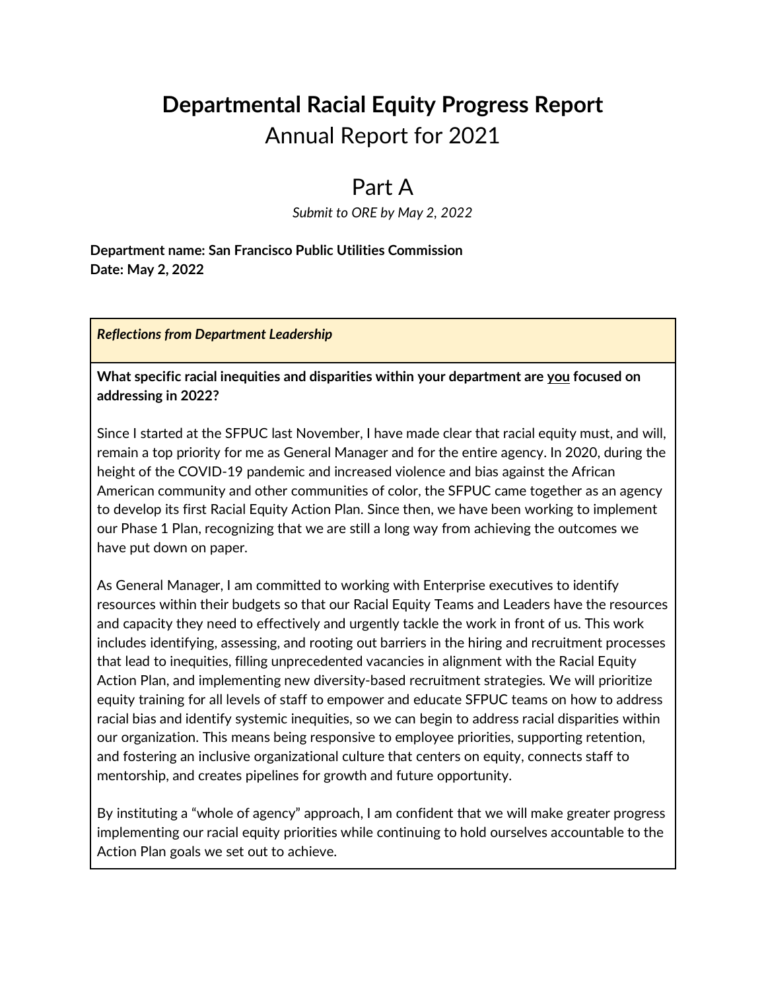### **Departmental Racial Equity Progress Report** Annual Report for 2021

### Part A

*Submit to ORE by May 2, 2022*

**Department name: San Francisco Public Utilities Commission Date: May 2, 2022**

*Reflections from Department Leadership*

**What specific racial inequities and disparities within your department are you focused on addressing in 2022?**

Since I started at the SFPUC last November, I have made clear that racial equity must, and will, remain a top priority for me as General Manager and for the entire agency. In 2020, during the height of the COVID-19 pandemic and increased violence and bias against the African American community and other communities of color, the SFPUC came together as an agency to develop its first Racial Equity Action Plan. Since then, we have been working to implement our Phase 1 Plan, recognizing that we are still a long way from achieving the outcomes we have put down on paper.

As General Manager, I am committed to working with Enterprise executives to identify resources within their budgets so that our Racial Equity Teams and Leaders have the resources and capacity they need to effectively and urgently tackle the work in front of us. This work includes identifying, assessing, and rooting out barriers in the hiring and recruitment processes that lead to inequities, filling unprecedented vacancies in alignment with the Racial Equity Action Plan, and implementing new diversity-based recruitment strategies. We will prioritize equity training for all levels of staff to empower and educate SFPUC teams on how to address racial bias and identify systemic inequities, so we can begin to address racial disparities within our organization. This means being responsive to employee priorities, supporting retention, and fostering an inclusive organizational culture that centers on equity, connects staff to mentorship, and creates pipelines for growth and future opportunity.

By instituting a "whole of agency" approach, I am confident that we will make greater progress implementing our racial equity priorities while continuing to hold ourselves accountable to the Action Plan goals we set out to achieve.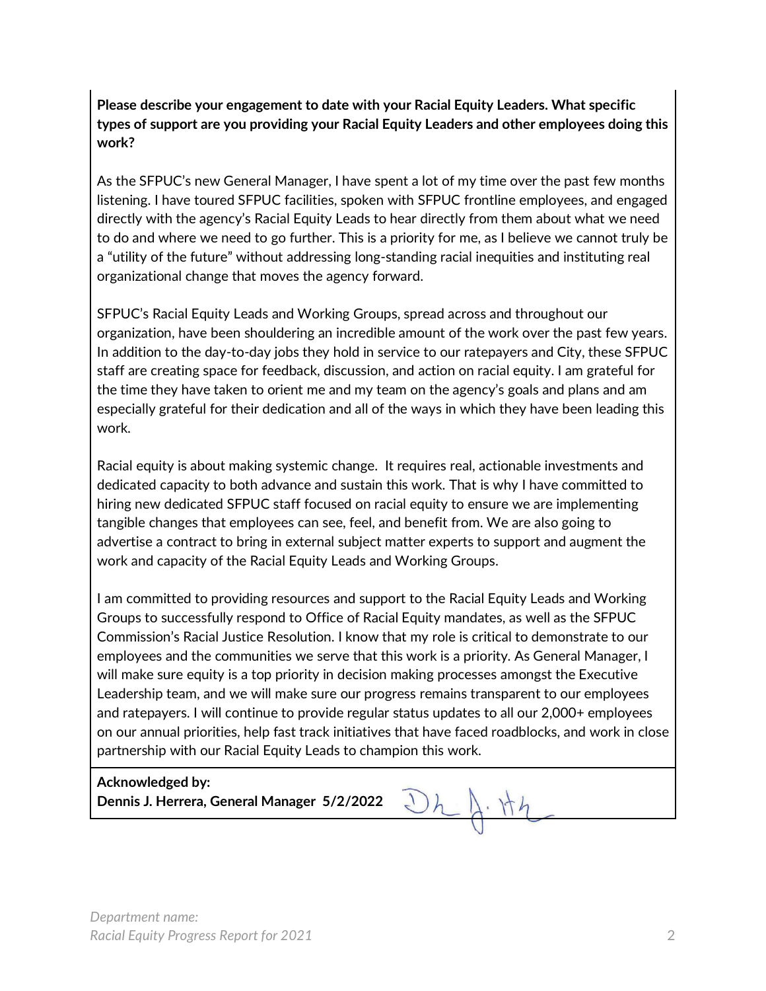**Please describe your engagement to date with your Racial Equity Leaders. What specific types of support are you providing your Racial Equity Leaders and other employees doing this work?** 

As the SFPUC's new General Manager, I have spent a lot of my time over the past few months listening. I have toured SFPUC facilities, spoken with SFPUC frontline employees, and engaged directly with the agency's Racial Equity Leads to hear directly from them about what we need to do and where we need to go further. This is a priority for me, as I believe we cannot truly be a "utility of the future" without addressing long-standing racial inequities and instituting real organizational change that moves the agency forward.

SFPUC's Racial Equity Leads and Working Groups, spread across and throughout our organization, have been shouldering an incredible amount of the work over the past few years. In addition to the day-to-day jobs they hold in service to our ratepayers and City, these SFPUC staff are creating space for feedback, discussion, and action on racial equity. I am grateful for the time they have taken to orient me and my team on the agency's goals and plans and am especially grateful for their dedication and all of the ways in which they have been leading this work.

Racial equity is about making systemic change. It requires real, actionable investments and dedicated capacity to both advance and sustain this work. That is why I have committed to hiring new dedicated SFPUC staff focused on racial equity to ensure we are implementing tangible changes that employees can see, feel, and benefit from. We are also going to advertise a contract to bring in external subject matter experts to support and augment the work and capacity of the Racial Equity Leads and Working Groups.

I am committed to providing resources and support to the Racial Equity Leads and Working Groups to successfully respond to Office of Racial Equity mandates, as well as the SFPUC Commission's Racial Justice Resolution. I know that my role is critical to demonstrate to our employees and the communities we serve that this work is a priority. As General Manager, I will make sure equity is a top priority in decision making processes amongst the Executive Leadership team, and we will make sure our progress remains transparent to our employees and ratepayers. I will continue to provide regular status updates to all our 2,000+ employees on our annual priorities, help fast track initiatives that have faced roadblocks, and work in close partnership with our Racial Equity Leads to champion this work.

**Acknowledged by: Dennis J. Herrera, General Manager 5/2/2022**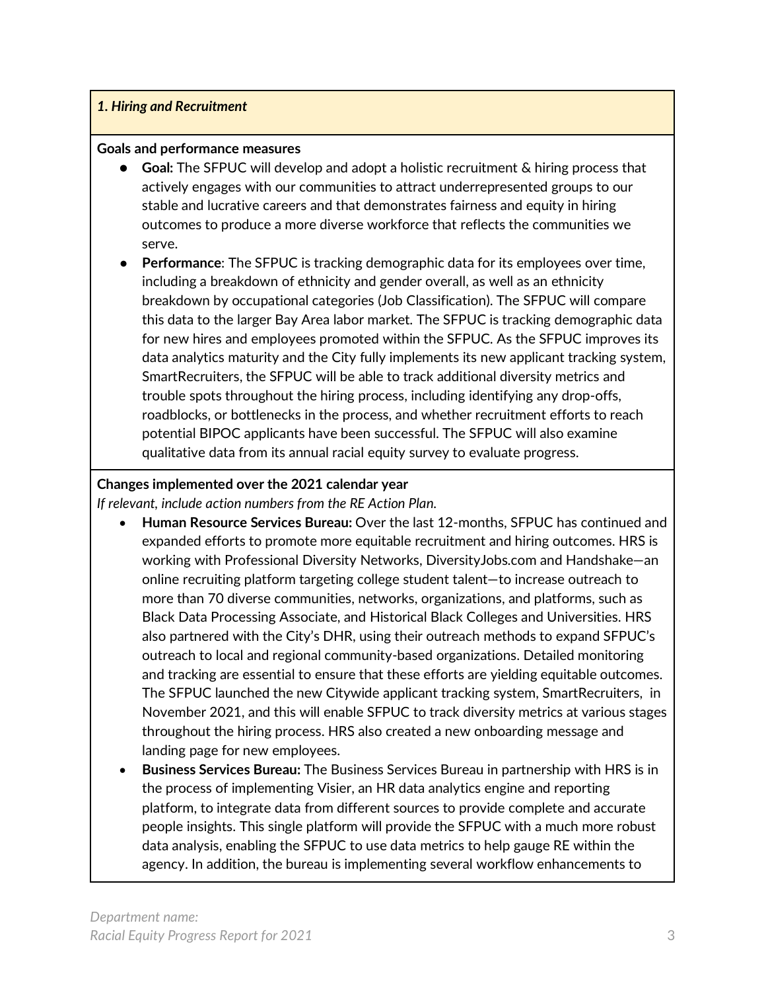#### *1. Hiring and Recruitment*

#### **Goals and performance measures**

- **Goal:** The SFPUC will develop and adopt a holistic recruitment & hiring process that actively engages with our communities to attract underrepresented groups to our stable and lucrative careers and that demonstrates fairness and equity in hiring outcomes to produce a more diverse workforce that reflects the communities we serve.
- **Performance:** The SFPUC is tracking demographic data for its employees over time, including a breakdown of ethnicity and gender overall, as well as an ethnicity breakdown by occupational categories (Job Classification). The SFPUC will compare this data to the larger Bay Area labor market. The SFPUC is tracking demographic data for new hires and employees promoted within the SFPUC. As the SFPUC improves its data analytics maturity and the City fully implements its new applicant tracking system, SmartRecruiters, the SFPUC will be able to track additional diversity metrics and trouble spots throughout the hiring process, including identifying any drop-offs, roadblocks, or bottlenecks in the process, and whether recruitment efforts to reach potential BIPOC applicants have been successful. The SFPUC will also examine qualitative data from its annual racial equity survey to evaluate progress.

#### **Changes implemented over the 2021 calendar year**

*If relevant, include action numbers from the RE Action Plan.* 

- **Human Resource Services Bureau:** Over the last 12-months, SFPUC has continued and expanded efforts to promote more equitable recruitment and hiring outcomes. HRS is working with Professional Diversity Networks, DiversityJobs.com and Handshake—an online recruiting platform targeting college student talent—to increase outreach to more than 70 diverse communities, networks, organizations, and platforms, such as Black Data Processing Associate, and Historical Black Colleges and Universities. HRS also partnered with the City's DHR, using their outreach methods to expand SFPUC's outreach to local and regional community-based organizations. Detailed monitoring and tracking are essential to ensure that these efforts are yielding equitable outcomes. The SFPUC launched the new Citywide applicant tracking system, SmartRecruiters, in November 2021, and this will enable SFPUC to track diversity metrics at various stages throughout the hiring process. HRS also created a new onboarding message and landing page for new employees.
- **Business Services Bureau:** The Business Services Bureau in partnership with HRS is in the process of implementing Visier, an HR data analytics engine and reporting platform, to integrate data from different sources to provide complete and accurate people insights. This single platform will provide the SFPUC with a much more robust data analysis, enabling the SFPUC to use data metrics to help gauge RE within the agency. In addition, the bureau is implementing several workflow enhancements to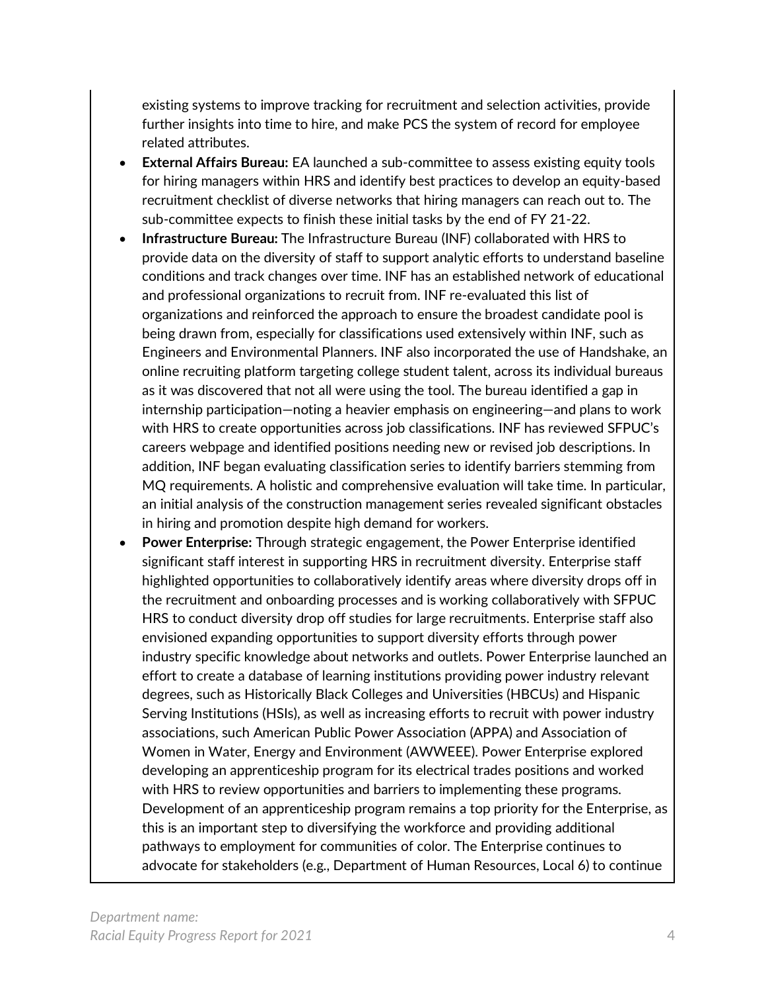existing systems to improve tracking for recruitment and selection activities, provide further insights into time to hire, and make PCS the system of record for employee related attributes.

- **External Affairs Bureau:** EA launched a sub-committee to assess existing equity tools for hiring managers within HRS and identify best practices to develop an equity-based recruitment checklist of diverse networks that hiring managers can reach out to. The sub-committee expects to finish these initial tasks by the end of FY 21-22.
- **Infrastructure Bureau:** The Infrastructure Bureau (INF) collaborated with HRS to provide data on the diversity of staff to support analytic efforts to understand baseline conditions and track changes over time. INF has an established network of educational and professional organizations to recruit from. INF re-evaluated this list of organizations and reinforced the approach to ensure the broadest candidate pool is being drawn from, especially for classifications used extensively within INF, such as Engineers and Environmental Planners. INF also incorporated the use of Handshake, an online recruiting platform targeting college student talent, across its individual bureaus as it was discovered that not all were using the tool. The bureau identified a gap in internship participation—noting a heavier emphasis on engineering—and plans to work with HRS to create opportunities across job classifications. INF has reviewed SFPUC's careers webpage and identified positions needing new or revised job descriptions. In addition, INF began evaluating classification series to identify barriers stemming from MQ requirements. A holistic and comprehensive evaluation will take time. In particular, an initial analysis of the construction management series revealed significant obstacles in hiring and promotion despite high demand for workers.
- **Power Enterprise:** Through strategic engagement, the Power Enterprise identified significant staff interest in supporting HRS in recruitment diversity. Enterprise staff highlighted opportunities to collaboratively identify areas where diversity drops off in the recruitment and onboarding processes and is working collaboratively with SFPUC HRS to conduct diversity drop off studies for large recruitments. Enterprise staff also envisioned expanding opportunities to support diversity efforts through power industry specific knowledge about networks and outlets. Power Enterprise launched an effort to create a database of learning institutions providing power industry relevant degrees, such as Historically Black Colleges and Universities (HBCUs) and Hispanic Serving Institutions (HSIs), as well as increasing efforts to recruit with power industry associations, such American Public Power Association (APPA) and Association of Women in Water, Energy and Environment (AWWEEE). Power Enterprise explored developing an apprenticeship program for its electrical trades positions and worked with HRS to review opportunities and barriers to implementing these programs. Development of an apprenticeship program remains a top priority for the Enterprise, as this is an important step to diversifying the workforce and providing additional pathways to employment for communities of color. The Enterprise continues to advocate for stakeholders (e.g., Department of Human Resources, Local 6) to continue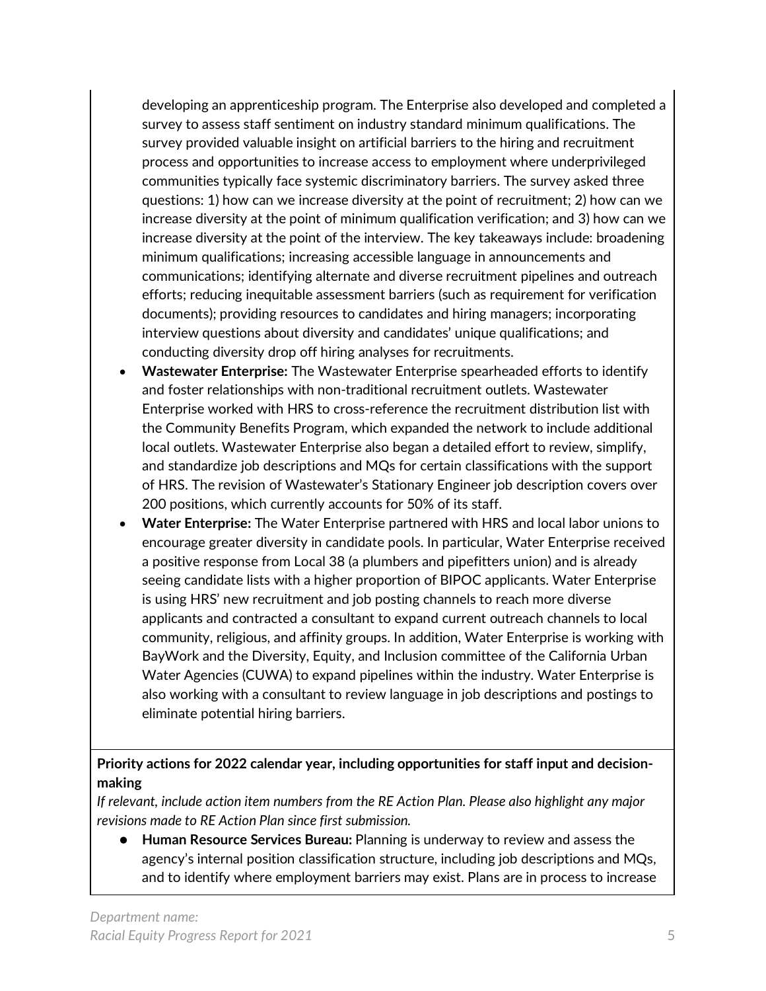developing an apprenticeship program. The Enterprise also developed and completed a survey to assess staff sentiment on industry standard minimum qualifications. The survey provided valuable insight on artificial barriers to the hiring and recruitment process and opportunities to increase access to employment where underprivileged communities typically face systemic discriminatory barriers. The survey asked three questions: 1) how can we increase diversity at the point of recruitment; 2) how can we increase diversity at the point of minimum qualification verification; and 3) how can we increase diversity at the point of the interview. The key takeaways include: broadening minimum qualifications; increasing accessible language in announcements and communications; identifying alternate and diverse recruitment pipelines and outreach efforts; reducing inequitable assessment barriers (such as requirement for verification documents); providing resources to candidates and hiring managers; incorporating interview questions about diversity and candidates' unique qualifications; and conducting diversity drop off hiring analyses for recruitments.

- **Wastewater Enterprise:** The Wastewater Enterprise spearheaded efforts to identify and foster relationships with non-traditional recruitment outlets. Wastewater Enterprise worked with HRS to cross-reference the recruitment distribution list with the Community Benefits Program, which expanded the network to include additional local outlets. Wastewater Enterprise also began a detailed effort to review, simplify, and standardize job descriptions and MQs for certain classifications with the support of HRS. The revision of Wastewater's Stationary Engineer job description covers over 200 positions, which currently accounts for 50% of its staff.
- **Water Enterprise:** The Water Enterprise partnered with HRS and local labor unions to encourage greater diversity in candidate pools. In particular, Water Enterprise received a positive response from Local 38 (a plumbers and pipefitters union) and is already seeing candidate lists with a higher proportion of BIPOC applicants. Water Enterprise is using HRS' new recruitment and job posting channels to reach more diverse applicants and contracted a consultant to expand current outreach channels to local community, religious, and affinity groups. In addition, Water Enterprise is working with BayWork and the Diversity, Equity, and Inclusion committee of the California Urban Water Agencies (CUWA) to expand pipelines within the industry. Water Enterprise is also working with a consultant to review language in job descriptions and postings to eliminate potential hiring barriers.

#### **Priority actions for 2022 calendar year, including opportunities for staff input and decisionmaking**

*If relevant, include action item numbers from the RE Action Plan. Please also highlight any major revisions made to RE Action Plan since first submission.*

● **Human Resource Services Bureau:** Planning is underway to review and assess the agency's internal position classification structure, including job descriptions and MQs, and to identify where employment barriers may exist. Plans are in process to increase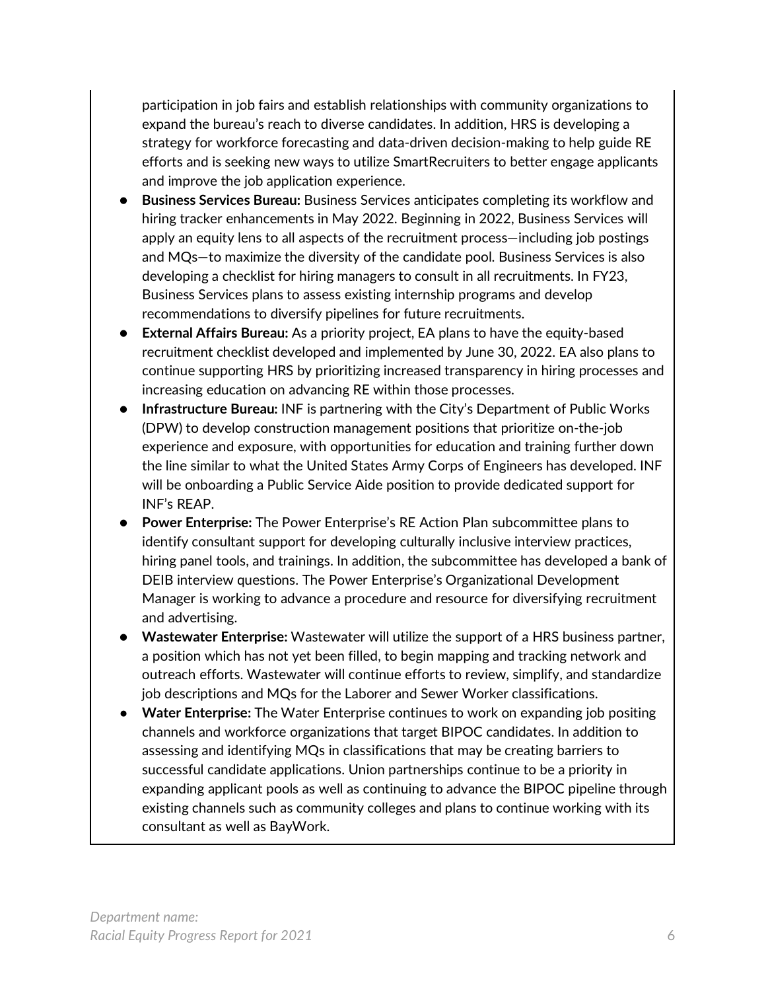participation in job fairs and establish relationships with community organizations to expand the bureau's reach to diverse candidates. In addition, HRS is developing a strategy for workforce forecasting and data-driven decision-making to help guide RE efforts and is seeking new ways to utilize SmartRecruiters to better engage applicants and improve the job application experience.

- **Business Services Bureau:** Business Services anticipates completing its workflow and hiring tracker enhancements in May 2022. Beginning in 2022, Business Services will apply an equity lens to all aspects of the recruitment process—including job postings and MQs—to maximize the diversity of the candidate pool. Business Services is also developing a checklist for hiring managers to consult in all recruitments. In FY23, Business Services plans to assess existing internship programs and develop recommendations to diversify pipelines for future recruitments.
- **External Affairs Bureau:** As a priority project, EA plans to have the equity-based recruitment checklist developed and implemented by June 30, 2022. EA also plans to continue supporting HRS by prioritizing increased transparency in hiring processes and increasing education on advancing RE within those processes.
- **Infrastructure Bureau:** INF is partnering with the City's Department of Public Works (DPW) to develop construction management positions that prioritize on-the-job experience and exposure, with opportunities for education and training further down the line similar to what the United States Army Corps of Engineers has developed. INF will be onboarding a Public Service Aide position to provide dedicated support for INF's REAP.
- Power Enterprise: The Power Enterprise's RE Action Plan subcommittee plans to identify consultant support for developing culturally inclusive interview practices, hiring panel tools, and trainings. In addition, the subcommittee has developed a bank of DEIB interview questions. The Power Enterprise's Organizational Development Manager is working to advance a procedure and resource for diversifying recruitment and advertising.
- **Wastewater Enterprise:** Wastewater will utilize the support of a HRS business partner, a position which has not yet been filled, to begin mapping and tracking network and outreach efforts. Wastewater will continue efforts to review, simplify, and standardize job descriptions and MQs for the Laborer and Sewer Worker classifications.
- **Water Enterprise:** The Water Enterprise continues to work on expanding job positing channels and workforce organizations that target BIPOC candidates. In addition to assessing and identifying MQs in classifications that may be creating barriers to successful candidate applications. Union partnerships continue to be a priority in expanding applicant pools as well as continuing to advance the BIPOC pipeline through existing channels such as community colleges and plans to continue working with its consultant as well as BayWork.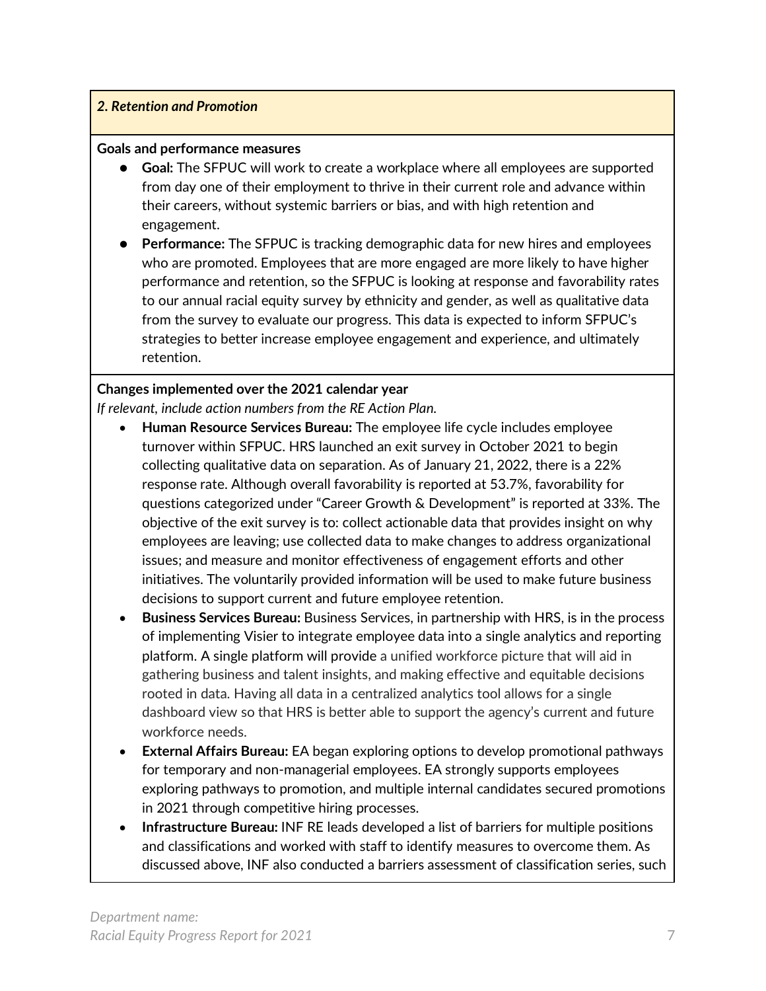#### *2. Retention and Promotion*

#### **Goals and performance measures**

- **Goal:** The SFPUC will work to create a workplace where all employees are supported from day one of their employment to thrive in their current role and advance within their careers, without systemic barriers or bias, and with high retention and engagement.
- **Performance:** The SFPUC is tracking demographic data for new hires and employees who are promoted. Employees that are more engaged are more likely to have higher performance and retention, so the SFPUC is looking at response and favorability rates to our annual racial equity survey by ethnicity and gender, as well as qualitative data from the survey to evaluate our progress. This data is expected to inform SFPUC's strategies to better increase employee engagement and experience, and ultimately retention.

#### **Changes implemented over the 2021 calendar year**

*If relevant, include action numbers from the RE Action Plan.* 

- **Human Resource Services Bureau:** The employee life cycle includes employee turnover within SFPUC. HRS launched an exit survey in October 2021 to begin collecting qualitative data on separation. As of January 21, 2022, there is a 22% response rate. Although overall favorability is reported at 53.7%, favorability for questions categorized under "Career Growth & Development" is reported at 33%. The objective of the exit survey is to: collect actionable data that provides insight on why employees are leaving; use collected data to make changes to address organizational issues; and measure and monitor effectiveness of engagement efforts and other initiatives. The voluntarily provided information will be used to make future business decisions to support current and future employee retention.
- **Business Services Bureau:** Business Services, in partnership with HRS, is in the process of implementing Visier to integrate employee data into a single analytics and reporting platform. A single platform will provide a unified workforce picture that will aid in gathering business and talent insights, and making effective and equitable decisions rooted in data. Having all data in a centralized analytics tool allows for a single dashboard view so that HRS is better able to support the agency's current and future workforce needs.
- **External Affairs Bureau:** EA began exploring options to develop promotional pathways for temporary and non-managerial employees. EA strongly supports employees exploring pathways to promotion, and multiple internal candidates secured promotions in 2021 through competitive hiring processes.
- **Infrastructure Bureau:** INF RE leads developed a list of barriers for multiple positions and classifications and worked with staff to identify measures to overcome them. As discussed above, INF also conducted a barriers assessment of classification series, such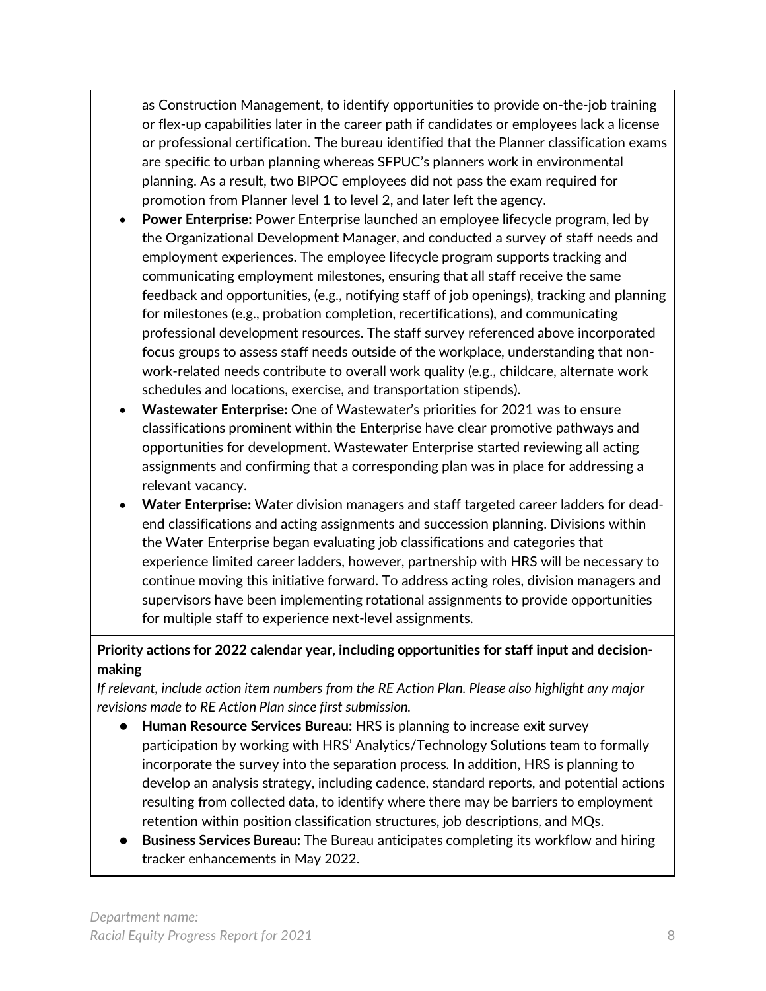as Construction Management, to identify opportunities to provide on-the-job training or flex-up capabilities later in the career path if candidates or employees lack a license or professional certification. The bureau identified that the Planner classification exams are specific to urban planning whereas SFPUC's planners work in environmental planning. As a result, two BIPOC employees did not pass the exam required for promotion from Planner level 1 to level 2, and later left the agency.

- **Power Enterprise:** Power Enterprise launched an employee lifecycle program, led by the Organizational Development Manager, and conducted a survey of staff needs and employment experiences. The employee lifecycle program supports tracking and communicating employment milestones, ensuring that all staff receive the same feedback and opportunities, (e.g., notifying staff of job openings), tracking and planning for milestones (e.g., probation completion, recertifications), and communicating professional development resources. The staff survey referenced above incorporated focus groups to assess staff needs outside of the workplace, understanding that nonwork-related needs contribute to overall work quality (e.g., childcare, alternate work schedules and locations, exercise, and transportation stipends).
- **Wastewater Enterprise:** One of Wastewater's priorities for 2021 was to ensure classifications prominent within the Enterprise have clear promotive pathways and opportunities for development. Wastewater Enterprise started reviewing all acting assignments and confirming that a corresponding plan was in place for addressing a relevant vacancy.
- **Water Enterprise:** Water division managers and staff targeted career ladders for deadend classifications and acting assignments and succession planning. Divisions within the Water Enterprise began evaluating job classifications and categories that experience limited career ladders, however, partnership with HRS will be necessary to continue moving this initiative forward. To address acting roles, division managers and supervisors have been implementing rotational assignments to provide opportunities for multiple staff to experience next-level assignments.

**Priority actions for 2022 calendar year, including opportunities for staff input and decisionmaking**

*If relevant, include action item numbers from the RE Action Plan. Please also highlight any major revisions made to RE Action Plan since first submission.*

- **Human Resource Services Bureau: HRS is planning to increase exit survey** participation by working with HRS' Analytics/Technology Solutions team to formally incorporate the survey into the separation process. In addition, HRS is planning to develop an analysis strategy, including cadence, standard reports, and potential actions resulting from collected data, to identify where there may be barriers to employment retention within position classification structures, job descriptions, and MQs.
- **Business Services Bureau:** The Bureau anticipates completing its workflow and hiring tracker enhancements in May 2022.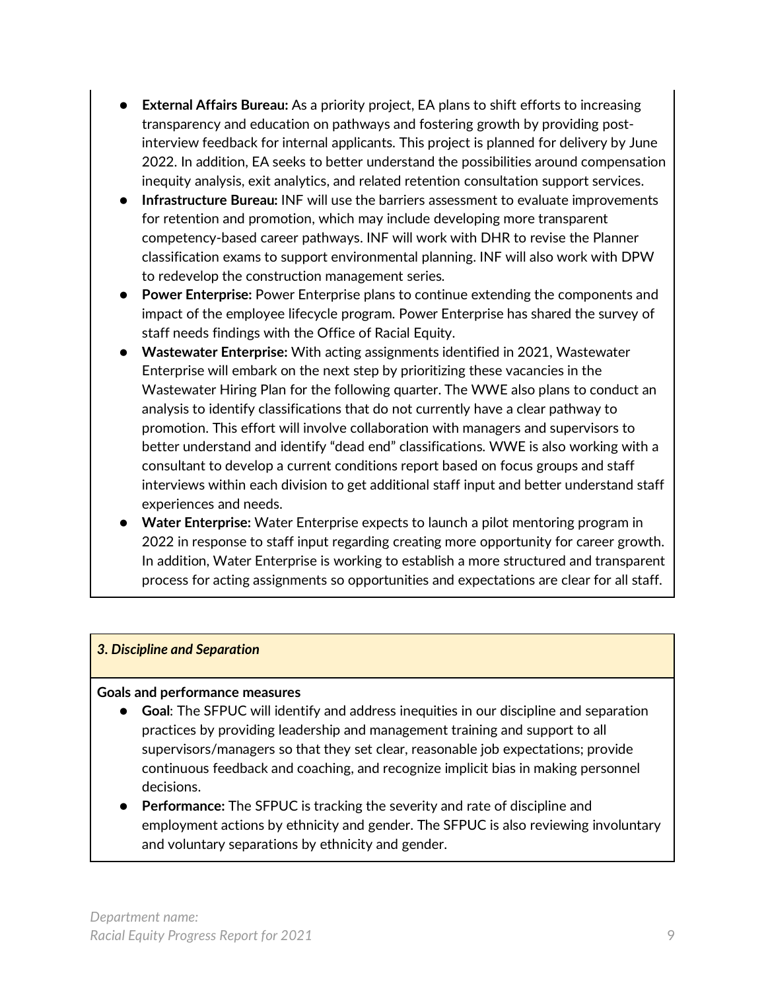- **External Affairs Bureau:** As a priority project, EA plans to shift efforts to increasing transparency and education on pathways and fostering growth by providing postinterview feedback for internal applicants. This project is planned for delivery by June 2022. In addition, EA seeks to better understand the possibilities around compensation inequity analysis, exit analytics, and related retention consultation support services.
- Infrastructure Bureau: INF will use the barriers assessment to evaluate improvements for retention and promotion, which may include developing more transparent competency-based career pathways. INF will work with DHR to revise the Planner classification exams to support environmental planning. INF will also work with DPW to redevelop the construction management series.
- **Power Enterprise:** Power Enterprise plans to continue extending the components and impact of the employee lifecycle program. Power Enterprise has shared the survey of staff needs findings with the Office of Racial Equity.
- **Wastewater Enterprise:** With acting assignments identified in 2021, Wastewater Enterprise will embark on the next step by prioritizing these vacancies in the Wastewater Hiring Plan for the following quarter. The WWE also plans to conduct an analysis to identify classifications that do not currently have a clear pathway to promotion. This effort will involve collaboration with managers and supervisors to better understand and identify "dead end" classifications. WWE is also working with a consultant to develop a current conditions report based on focus groups and staff interviews within each division to get additional staff input and better understand staff experiences and needs.
- **Water Enterprise:** Water Enterprise expects to launch a pilot mentoring program in 2022 in response to staff input regarding creating more opportunity for career growth. In addition, Water Enterprise is working to establish a more structured and transparent process for acting assignments so opportunities and expectations are clear for all staff.

#### *3. Discipline and Separation*

#### **Goals and performance measures**

- **Goal:** The SFPUC will identify and address inequities in our discipline and separation practices by providing leadership and management training and support to all supervisors/managers so that they set clear, reasonable job expectations; provide continuous feedback and coaching, and recognize implicit bias in making personnel decisions.
- **Performance:** The SFPUC is tracking the severity and rate of discipline and employment actions by ethnicity and gender. The SFPUC is also reviewing involuntary and voluntary separations by ethnicity and gender.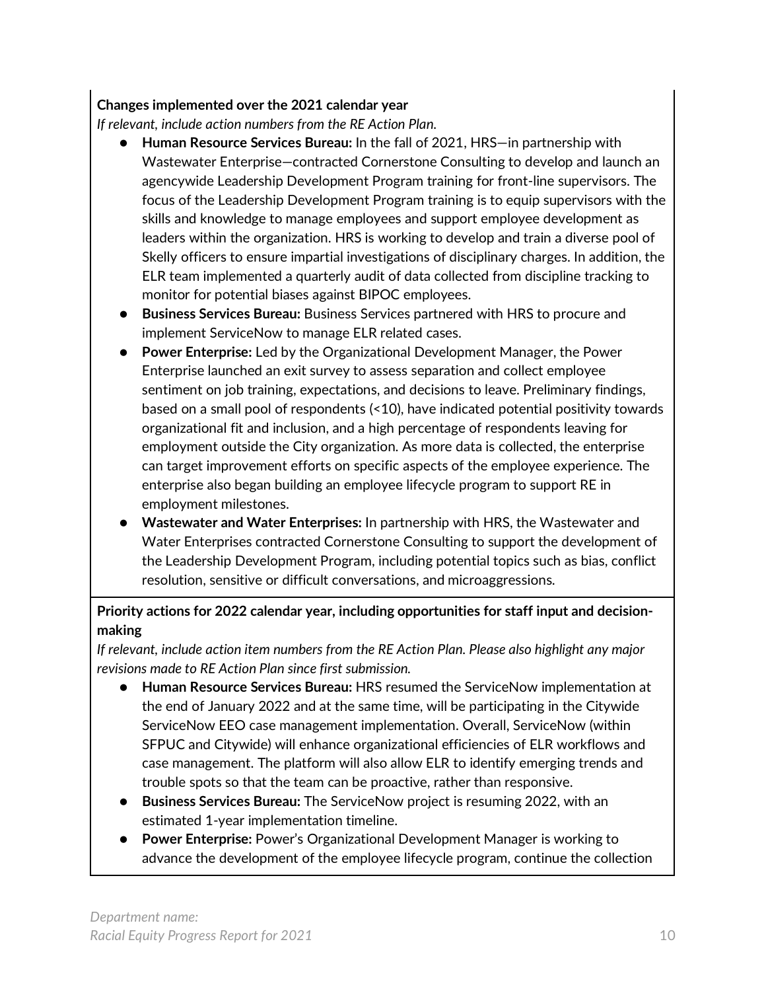#### **Changes implemented over the 2021 calendar year**

*If relevant, include action numbers from the RE Action Plan.* 

- **Human Resource Services Bureau:** In the fall of 2021, HRS—in partnership with Wastewater Enterprise—contracted Cornerstone Consulting to develop and launch an agencywide Leadership Development Program training for front-line supervisors. The focus of the Leadership Development Program training is to equip supervisors with the skills and knowledge to manage employees and support employee development as leaders within the organization. HRS is working to develop and train a diverse pool of Skelly officers to ensure impartial investigations of disciplinary charges. In addition, the ELR team implemented a quarterly audit of data collected from discipline tracking to monitor for potential biases against BIPOC employees.
- **Business Services Bureau:** Business Services partnered with HRS to procure and implement ServiceNow to manage ELR related cases.
- **Power Enterprise:** Led by the Organizational Development Manager, the Power Enterprise launched an exit survey to assess separation and collect employee sentiment on job training, expectations, and decisions to leave. Preliminary findings, based on a small pool of respondents (<10), have indicated potential positivity towards organizational fit and inclusion, and a high percentage of respondents leaving for employment outside the City organization. As more data is collected, the enterprise can target improvement efforts on specific aspects of the employee experience. The enterprise also began building an employee lifecycle program to support RE in employment milestones.
- **Wastewater and Water Enterprises:** In partnership with HRS, the Wastewater and Water Enterprises contracted Cornerstone Consulting to support the development of the Leadership Development Program, including potential topics such as bias, conflict resolution, sensitive or difficult conversations, and microaggressions.

#### **Priority actions for 2022 calendar year, including opportunities for staff input and decisionmaking**

*If relevant, include action item numbers from the RE Action Plan. Please also highlight any major revisions made to RE Action Plan since first submission.*

- **Human Resource Services Bureau:** HRS resumed the ServiceNow implementation at the end of January 2022 and at the same time, will be participating in the Citywide ServiceNow EEO case management implementation. Overall, ServiceNow (within SFPUC and Citywide) will enhance organizational efficiencies of ELR workflows and case management. The platform will also allow ELR to identify emerging trends and trouble spots so that the team can be proactive, rather than responsive.
- **Business Services Bureau:** The ServiceNow project is resuming 2022, with an estimated 1-year implementation timeline.
- Power Enterprise: Power's Organizational Development Manager is working to advance the development of the employee lifecycle program, continue the collection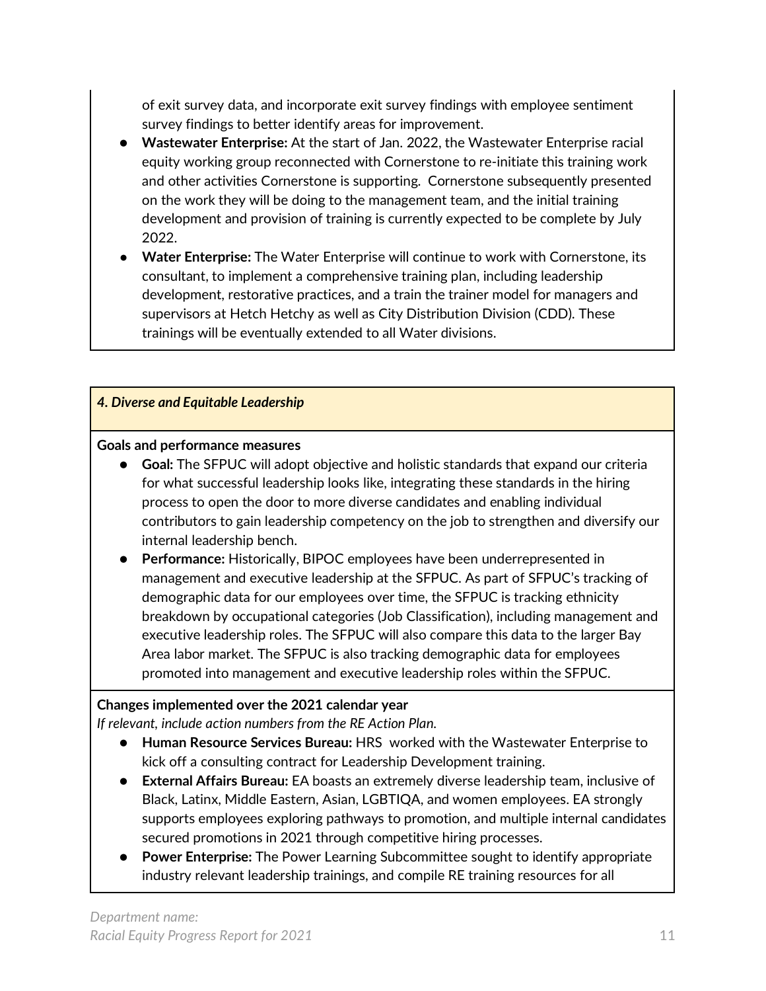of exit survey data, and incorporate exit survey findings with employee sentiment survey findings to better identify areas for improvement.

- **Wastewater Enterprise:** At the start of Jan. 2022, the Wastewater Enterprise racial equity working group reconnected with Cornerstone to re-initiate this training work and other activities Cornerstone is supporting. Cornerstone subsequently presented on the work they will be doing to the management team, and the initial training development and provision of training is currently expected to be complete by July 2022.
- **Water Enterprise:** The Water Enterprise will continue to work with Cornerstone, its consultant, to implement a comprehensive training plan, including leadership development, restorative practices, and a train the trainer model for managers and supervisors at Hetch Hetchy as well as City Distribution Division (CDD). These trainings will be eventually extended to all Water divisions.

#### *4. Diverse and Equitable Leadership*

#### **Goals and performance measures**

- **Goal:** The SFPUC will adopt objective and holistic standards that expand our criteria for what successful leadership looks like, integrating these standards in the hiring process to open the door to more diverse candidates and enabling individual contributors to gain leadership competency on the job to strengthen and diversify our internal leadership bench.
- **Performance:** Historically, BIPOC employees have been underrepresented in management and executive leadership at the SFPUC. As part of SFPUC's tracking of demographic data for our employees over time, the SFPUC is tracking ethnicity breakdown by occupational categories (Job Classification), including management and executive leadership roles. The SFPUC will also compare this data to the larger Bay Area labor market. The SFPUC is also tracking demographic data for employees promoted into management and executive leadership roles within the SFPUC.

#### **Changes implemented over the 2021 calendar year**

*If relevant, include action numbers from the RE Action Plan.* 

- **Human Resource Services Bureau:** HRS worked with the Wastewater Enterprise to kick off a consulting contract for Leadership Development training.
- **External Affairs Bureau:** EA boasts an extremely diverse leadership team, inclusive of Black, Latinx, Middle Eastern, Asian, LGBTIQA, and women employees. EA strongly supports employees exploring pathways to promotion, and multiple internal candidates secured promotions in 2021 through competitive hiring processes.
- **Power Enterprise:** The Power Learning Subcommittee sought to identify appropriate industry relevant leadership trainings, and compile RE training resources for all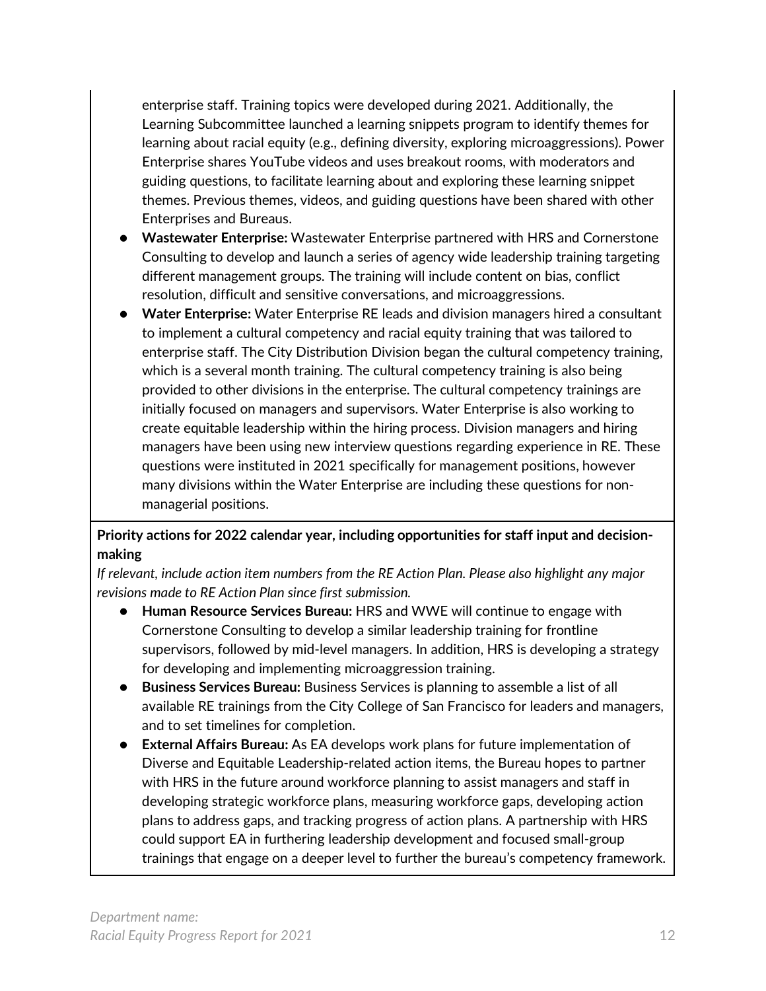enterprise staff. Training topics were developed during 2021. Additionally, the Learning Subcommittee launched a learning snippets program to identify themes for learning about racial equity (e.g., defining diversity, exploring microaggressions). Power Enterprise shares YouTube videos and uses breakout rooms, with moderators and guiding questions, to facilitate learning about and exploring these learning snippet themes. Previous themes, videos, and guiding questions have been shared with other Enterprises and Bureaus.

- **Wastewater Enterprise:** Wastewater Enterprise partnered with HRS and Cornerstone Consulting to develop and launch a series of agency wide leadership training targeting different management groups. The training will include content on bias, conflict resolution, difficult and sensitive conversations, and microaggressions.
- **Water Enterprise:** Water Enterprise RE leads and division managers hired a consultant to implement a cultural competency and racial equity training that was tailored to enterprise staff. The City Distribution Division began the cultural competency training, which is a several month training. The cultural competency training is also being provided to other divisions in the enterprise. The cultural competency trainings are initially focused on managers and supervisors. Water Enterprise is also working to create equitable leadership within the hiring process. Division managers and hiring managers have been using new interview questions regarding experience in RE. These questions were instituted in 2021 specifically for management positions, however many divisions within the Water Enterprise are including these questions for nonmanagerial positions.

#### **Priority actions for 2022 calendar year, including opportunities for staff input and decisionmaking**

*If relevant, include action item numbers from the RE Action Plan. Please also highlight any major revisions made to RE Action Plan since first submission.*

- **Human Resource Services Bureau:** HRS and WWE will continue to engage with Cornerstone Consulting to develop a similar leadership training for frontline supervisors, followed by mid-level managers. In addition, HRS is developing a strategy for developing and implementing microaggression training.
- Business Services Bureau: Business Services is planning to assemble a list of all available RE trainings from the City College of San Francisco for leaders and managers, and to set timelines for completion.
- **External Affairs Bureau:** As EA develops work plans for future implementation of Diverse and Equitable Leadership-related action items, the Bureau hopes to partner with HRS in the future around workforce planning to assist managers and staff in developing strategic workforce plans, measuring workforce gaps, developing action plans to address gaps, and tracking progress of action plans. A partnership with HRS could support EA in furthering leadership development and focused small-group trainings that engage on a deeper level to further the bureau's competency framework.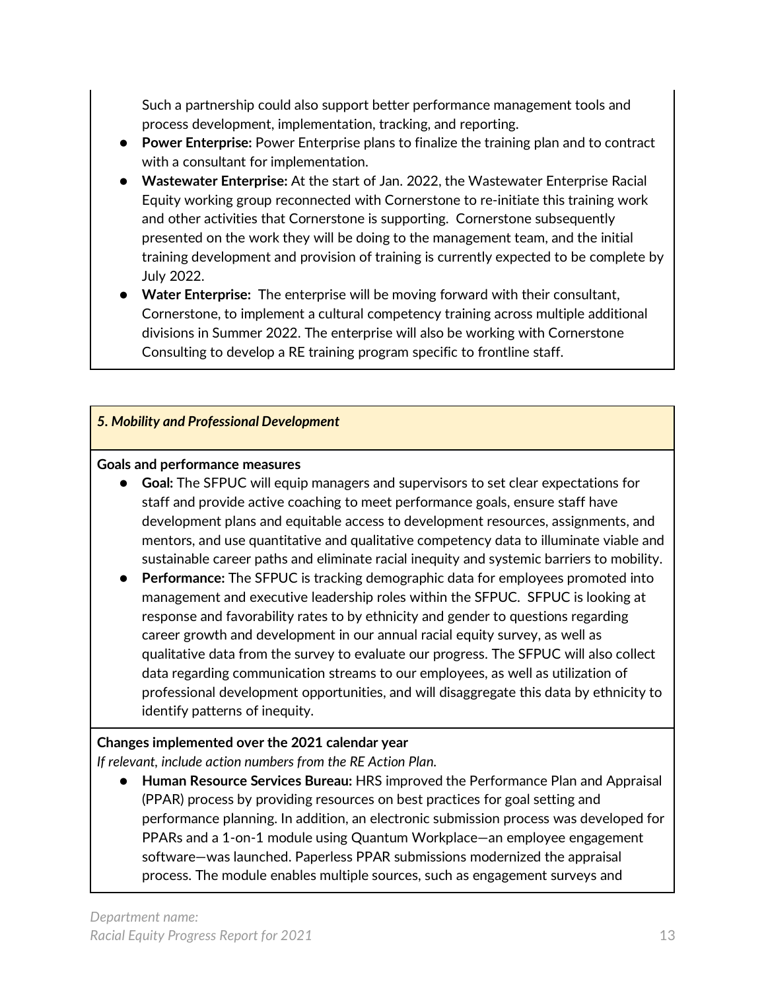Such a partnership could also support better performance management tools and process development, implementation, tracking, and reporting.

- **Power Enterprise:** Power Enterprise plans to finalize the training plan and to contract with a consultant for implementation.
- **Wastewater Enterprise:** At the start of Jan. 2022, the Wastewater Enterprise Racial Equity working group reconnected with Cornerstone to re-initiate this training work and other activities that Cornerstone is supporting. Cornerstone subsequently presented on the work they will be doing to the management team, and the initial training development and provision of training is currently expected to be complete by July 2022.
- **Water Enterprise:** The enterprise will be moving forward with their consultant, Cornerstone, to implement a cultural competency training across multiple additional divisions in Summer 2022. The enterprise will also be working with Cornerstone Consulting to develop a RE training program specific to frontline staff.

#### *5. Mobility and Professional Development*

#### **Goals and performance measures**

- **Goal:** The SFPUC will equip managers and supervisors to set clear expectations for staff and provide active coaching to meet performance goals, ensure staff have development plans and equitable access to development resources, assignments, and mentors, and use quantitative and qualitative competency data to illuminate viable and sustainable career paths and eliminate racial inequity and systemic barriers to mobility.
- **Performance:** The SFPUC is tracking demographic data for employees promoted into management and executive leadership roles within the SFPUC. SFPUC is looking at response and favorability rates to by ethnicity and gender to questions regarding career growth and development in our annual racial equity survey, as well as qualitative data from the survey to evaluate our progress. The SFPUC will also collect data regarding communication streams to our employees, as well as utilization of professional development opportunities, and will disaggregate this data by ethnicity to identify patterns of inequity.

#### **Changes implemented over the 2021 calendar year**

*If relevant, include action numbers from the RE Action Plan.* 

● **Human Resource Services Bureau:** HRS improved the Performance Plan and Appraisal (PPAR) process by providing resources on best practices for goal setting and performance planning. In addition, an electronic submission process was developed for PPARs and a 1-on-1 module using Quantum Workplace—an employee engagement software—was launched. Paperless PPAR submissions modernized the appraisal process. The module enables multiple sources, such as engagement surveys and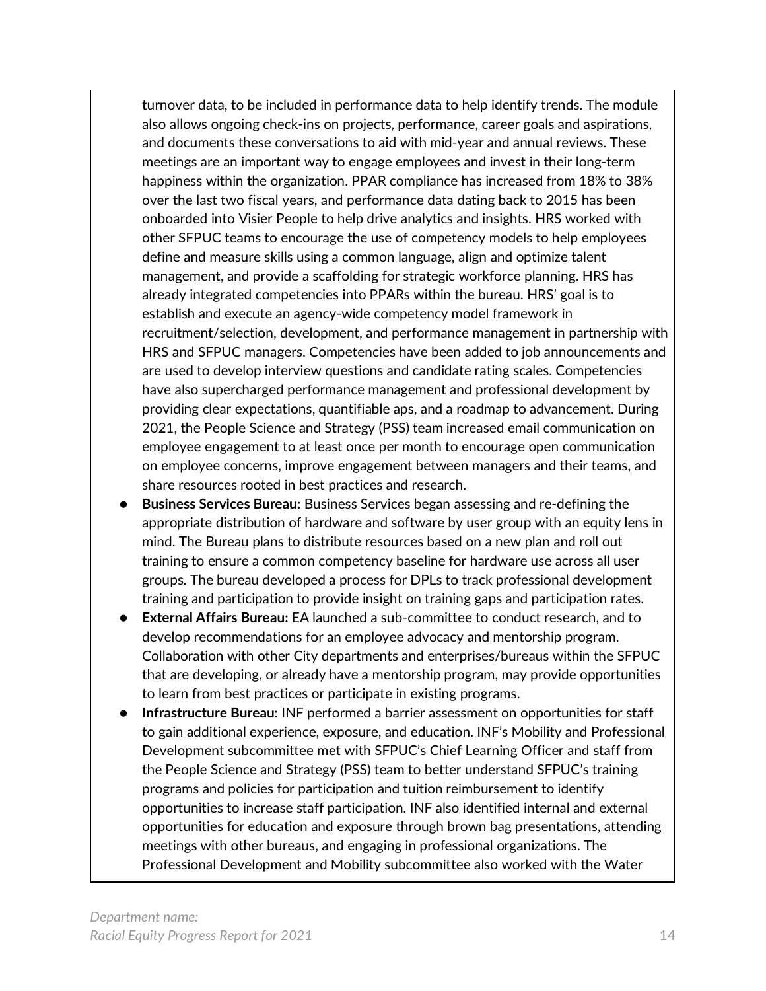turnover data, to be included in performance data to help identify trends. The module also allows ongoing check-ins on projects, performance, career goals and aspirations, and documents these conversations to aid with mid-year and annual reviews. These meetings are an important way to engage employees and invest in their long-term happiness within the organization. PPAR compliance has increased from 18% to 38% over the last two fiscal years, and performance data dating back to 2015 has been onboarded into Visier People to help drive analytics and insights. HRS worked with other SFPUC teams to encourage the use of competency models to help employees define and measure skills using a common language, align and optimize talent management, and provide a scaffolding for strategic workforce planning. HRS has already integrated competencies into PPARs within the bureau. HRS' goal is to establish and execute an agency-wide competency model framework in recruitment/selection, development, and performance management in partnership with HRS and SFPUC managers. Competencies have been added to job announcements and are used to develop interview questions and candidate rating scales. Competencies have also supercharged performance management and professional development by providing clear expectations, quantifiable aps, and a roadmap to advancement. During 2021, the People Science and Strategy (PSS) team increased email communication on employee engagement to at least once per month to encourage open communication on employee concerns, improve engagement between managers and their teams, and share resources rooted in best practices and research.

- **Business Services Bureau:** Business Services began assessing and re-defining the appropriate distribution of hardware and software by user group with an equity lens in mind. The Bureau plans to distribute resources based on a new plan and roll out training to ensure a common competency baseline for hardware use across all user groups. The bureau developed a process for DPLs to track professional development training and participation to provide insight on training gaps and participation rates.
- **External Affairs Bureau: EA launched a sub-committee to conduct research, and to** develop recommendations for an employee advocacy and mentorship program. Collaboration with other City departments and enterprises/bureaus within the SFPUC that are developing, or already have a mentorship program, may provide opportunities to learn from best practices or participate in existing programs.
- **Infrastructure Bureau: INF** performed a barrier assessment on opportunities for staff to gain additional experience, exposure, and education. INF's Mobility and Professional Development subcommittee met with SFPUC's Chief Learning Officer and staff from the People Science and Strategy (PSS) team to better understand SFPUC's training programs and policies for participation and tuition reimbursement to identify opportunities to increase staff participation. INF also identified internal and external opportunities for education and exposure through brown bag presentations, attending meetings with other bureaus, and engaging in professional organizations. The Professional Development and Mobility subcommittee also worked with the Water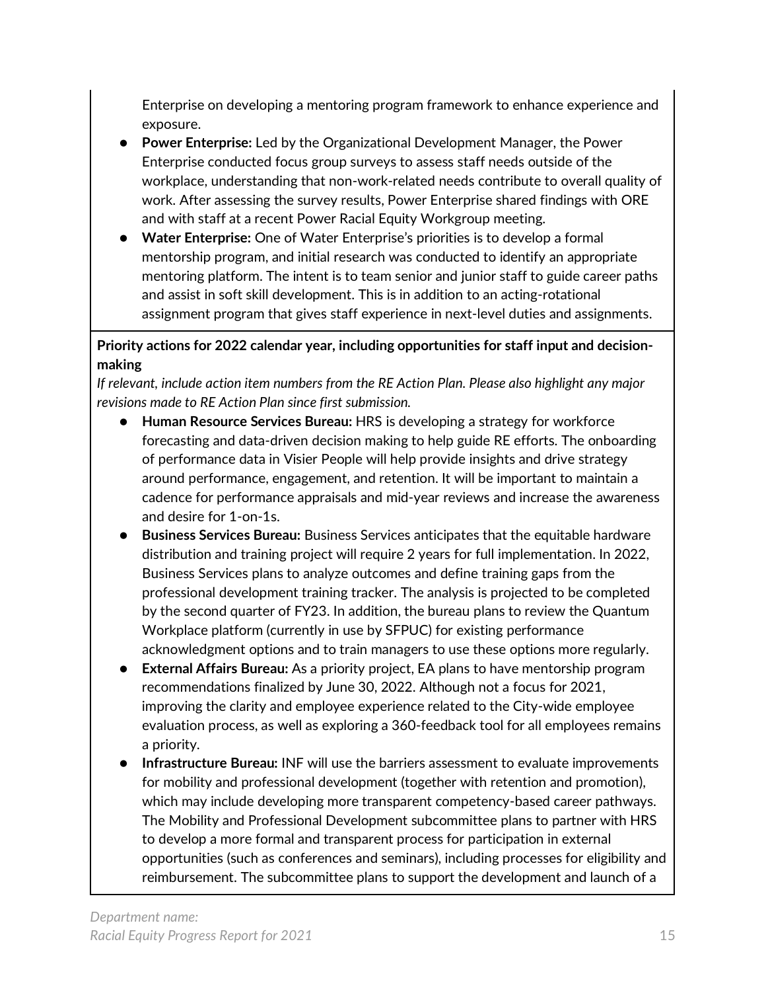Enterprise on developing a mentoring program framework to enhance experience and exposure.

- **Power Enterprise:** Led by the Organizational Development Manager, the Power Enterprise conducted focus group surveys to assess staff needs outside of the workplace, understanding that non-work-related needs contribute to overall quality of work. After assessing the survey results, Power Enterprise shared findings with ORE and with staff at a recent Power Racial Equity Workgroup meeting.
- **Water Enterprise:** One of Water Enterprise's priorities is to develop a formal mentorship program, and initial research was conducted to identify an appropriate mentoring platform. The intent is to team senior and junior staff to guide career paths and assist in soft skill development. This is in addition to an acting-rotational assignment program that gives staff experience in next-level duties and assignments.

#### **Priority actions for 2022 calendar year, including opportunities for staff input and decisionmaking**

*If relevant, include action item numbers from the RE Action Plan. Please also highlight any major revisions made to RE Action Plan since first submission.*

- **Human Resource Services Bureau:** HRS is developing a strategy for workforce forecasting and data-driven decision making to help guide RE efforts. The onboarding of performance data in Visier People will help provide insights and drive strategy around performance, engagement, and retention. It will be important to maintain a cadence for performance appraisals and mid-year reviews and increase the awareness and desire for 1-on-1s.
- **Business Services Bureau:** Business Services anticipates that the equitable hardware distribution and training project will require 2 years for full implementation. In 2022, Business Services plans to analyze outcomes and define training gaps from the professional development training tracker. The analysis is projected to be completed by the second quarter of FY23. In addition, the bureau plans to review the Quantum Workplace platform (currently in use by SFPUC) for existing performance acknowledgment options and to train managers to use these options more regularly.
- **External Affairs Bureau:** As a priority project, EA plans to have mentorship program recommendations finalized by June 30, 2022. Although not a focus for 2021, improving the clarity and employee experience related to the City-wide employee evaluation process, as well as exploring a 360-feedback tool for all employees remains a priority.
- **Infrastructure Bureau: INF will use the barriers assessment to evaluate improvements** for mobility and professional development (together with retention and promotion), which may include developing more transparent competency-based career pathways. The Mobility and Professional Development subcommittee plans to partner with HRS to develop a more formal and transparent process for participation in external opportunities (such as conferences and seminars), including processes for eligibility and reimbursement. The subcommittee plans to support the development and launch of a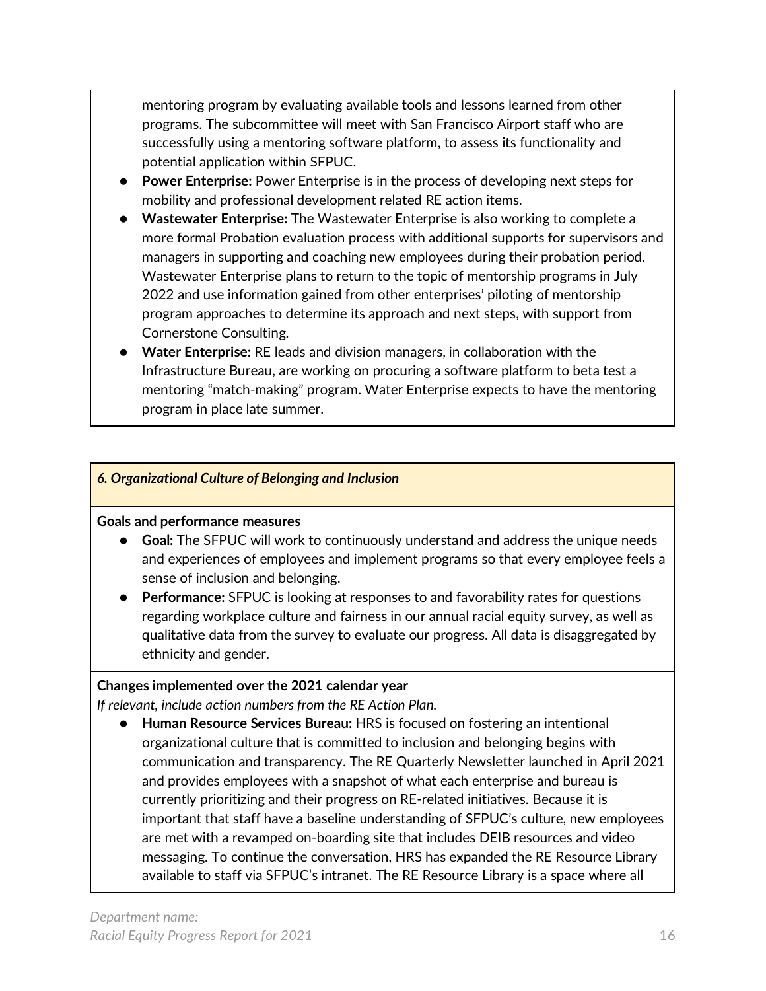mentoring program by evaluating available tools and lessons learned from other programs. The subcommittee will meet with San Francisco Airport staff who are successfully using a mentoring software platform, to assess its functionality and potential application within SFPUC.

- **Power Enterprise:** Power Enterprise is in the process of developing next steps for mobility and professional development related RE action items.
- **Wastewater Enterprise:** The Wastewater Enterprise is also working to complete a more formal Probation evaluation process with additional supports for supervisors and managers in supporting and coaching new employees during their probation period. Wastewater Enterprise plans to return to the topic of mentorship programs in July 2022 and use information gained from other enterprises' piloting of mentorship program approaches to determine its approach and next steps, with support from Cornerstone Consulting.
- **Water Enterprise:** RE leads and division managers, in collaboration with the Infrastructure Bureau, are working on procuring a software platform to beta test a mentoring "match-making" program. Water Enterprise expects to have the mentoring program in place late summer.

#### *6. Organizational Culture of Belonging and Inclusion*

#### **Goals and performance measures**

- **Goal:** The SFPUC will work to continuously understand and address the unique needs and experiences of employees and implement programs so that every employee feels a sense of inclusion and belonging.
- **Performance:** SFPUC is looking at responses to and favorability rates for questions regarding workplace culture and fairness in our annual racial equity survey, as well as qualitative data from the survey to evaluate our progress. All data is disaggregated by ethnicity and gender.

#### **Changes implemented over the 2021 calendar year**

*If relevant, include action numbers from the RE Action Plan.* 

● **Human Resource Services Bureau:** HRS is focused on fostering an intentional organizational culture that is committed to inclusion and belonging begins with communication and transparency. The RE Quarterly Newsletter launched in April 2021 and provides employees with a snapshot of what each enterprise and bureau is currently prioritizing and their progress on RE-related initiatives. Because it is important that staff have a baseline understanding of SFPUC's culture, new employees are met with a revamped on-boarding site that includes DEIB resources and video messaging. To continue the conversation, HRS has expanded the RE Resource Library available to staff via SFPUC's intranet. The RE Resource Library is a space where all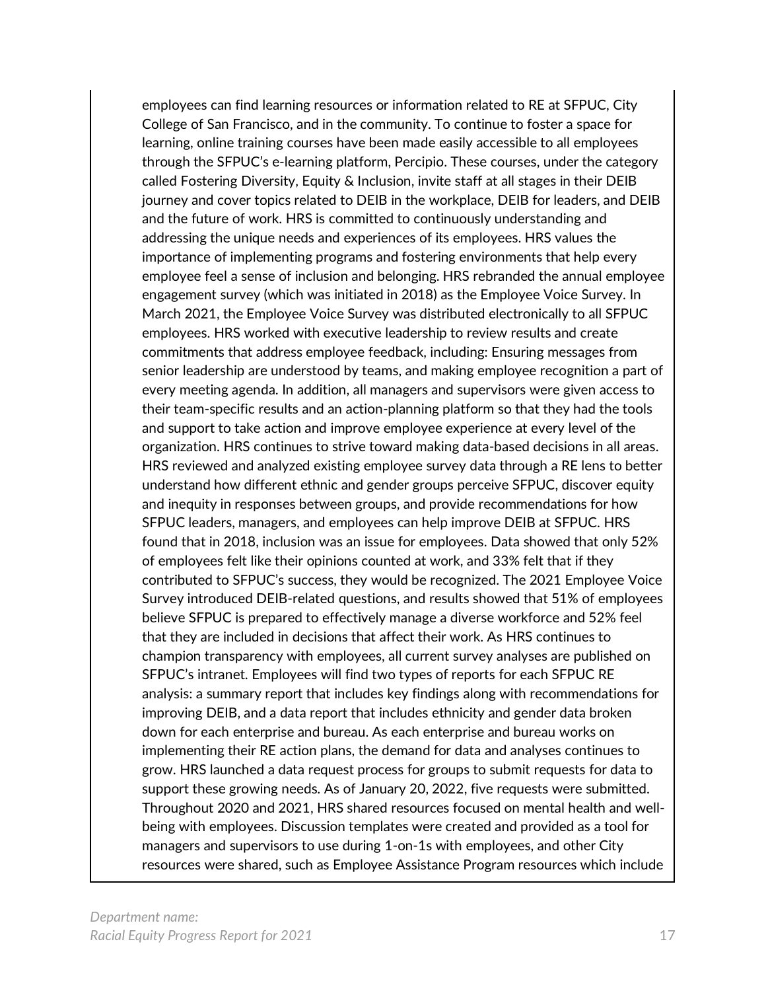employees can find learning resources or information related to RE at SFPUC, City College of San Francisco, and in the community. To continue to foster a space for learning, online training courses have been made easily accessible to all employees through the SFPUC's e-learning platform, Percipio. These courses, under the category called Fostering Diversity, Equity & Inclusion, invite staff at all stages in their DEIB journey and cover topics related to DEIB in the workplace, DEIB for leaders, and DEIB and the future of work. HRS is committed to continuously understanding and addressing the unique needs and experiences of its employees. HRS values the importance of implementing programs and fostering environments that help every employee feel a sense of inclusion and belonging. HRS rebranded the annual employee engagement survey (which was initiated in 2018) as the Employee Voice Survey. In March 2021, the Employee Voice Survey was distributed electronically to all SFPUC employees. HRS worked with executive leadership to review results and create commitments that address employee feedback, including: Ensuring messages from senior leadership are understood by teams, and making employee recognition a part of every meeting agenda. In addition, all managers and supervisors were given access to their team-specific results and an action-planning platform so that they had the tools and support to take action and improve employee experience at every level of the organization. HRS continues to strive toward making data-based decisions in all areas. HRS reviewed and analyzed existing employee survey data through a RE lens to better understand how different ethnic and gender groups perceive SFPUC, discover equity and inequity in responses between groups, and provide recommendations for how SFPUC leaders, managers, and employees can help improve DEIB at SFPUC. HRS found that in 2018, inclusion was an issue for employees. Data showed that only 52% of employees felt like their opinions counted at work, and 33% felt that if they contributed to SFPUC's success, they would be recognized. The 2021 Employee Voice Survey introduced DEIB-related questions, and results showed that 51% of employees believe SFPUC is prepared to effectively manage a diverse workforce and 52% feel that they are included in decisions that affect their work. As HRS continues to champion transparency with employees, all current survey analyses are published on SFPUC's intranet. Employees will find two types of reports for each SFPUC RE analysis: a summary report that includes key findings along with recommendations for improving DEIB, and a data report that includes ethnicity and gender data broken down for each enterprise and bureau. As each enterprise and bureau works on implementing their RE action plans, the demand for data and analyses continues to grow. HRS launched a data request process for groups to submit requests for data to support these growing needs. As of January 20, 2022, five requests were submitted. Throughout 2020 and 2021, HRS shared resources focused on mental health and wellbeing with employees. Discussion templates were created and provided as a tool for managers and supervisors to use during 1-on-1s with employees, and other City resources were shared, such as Employee Assistance Program resources which include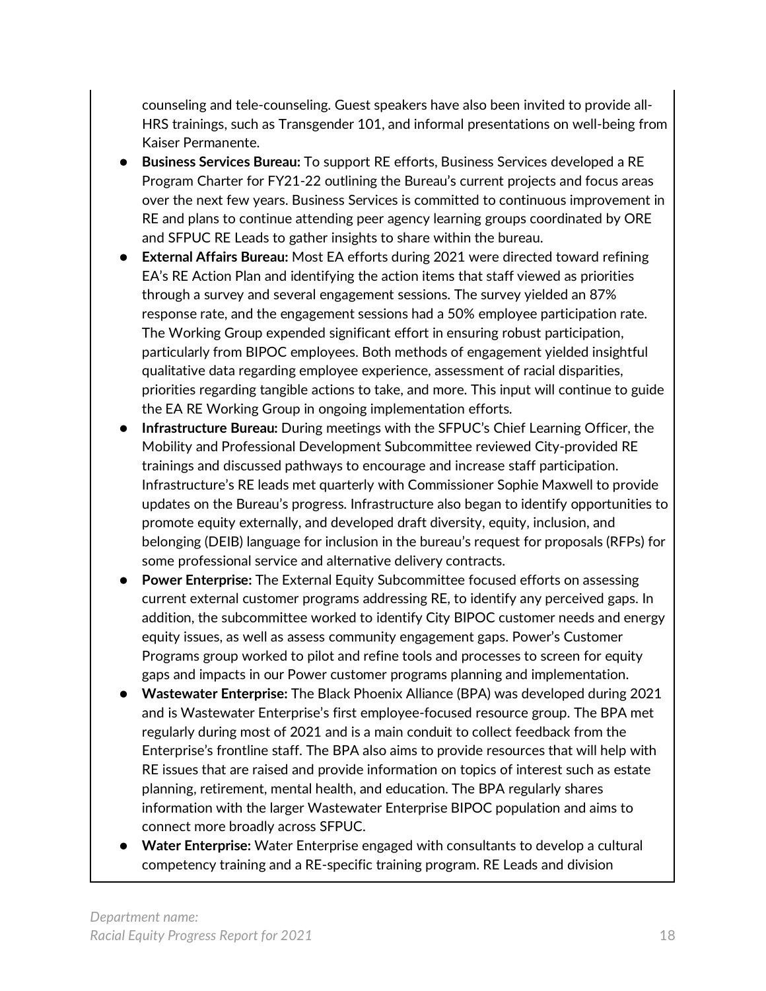counseling and tele-counseling. Guest speakers have also been invited to provide all-HRS trainings, such as Transgender 101, and informal presentations on well-being from Kaiser Permanente.

- **Business Services Bureau:** To support RE efforts, Business Services developed a RE Program Charter for FY21-22 outlining the Bureau's current projects and focus areas over the next few years. Business Services is committed to continuous improvement in RE and plans to continue attending peer agency learning groups coordinated by ORE and SFPUC RE Leads to gather insights to share within the bureau.
- **External Affairs Bureau:** Most EA efforts during 2021 were directed toward refining EA's RE Action Plan and identifying the action items that staff viewed as priorities through a survey and several engagement sessions. The survey yielded an 87% response rate, and the engagement sessions had a 50% employee participation rate. The Working Group expended significant effort in ensuring robust participation, particularly from BIPOC employees. Both methods of engagement yielded insightful qualitative data regarding employee experience, assessment of racial disparities, priorities regarding tangible actions to take, and more. This input will continue to guide the EA RE Working Group in ongoing implementation efforts.
- **Infrastructure Bureau:** During meetings with the SFPUC's Chief Learning Officer, the Mobility and Professional Development Subcommittee reviewed City-provided RE trainings and discussed pathways to encourage and increase staff participation. Infrastructure's RE leads met quarterly with Commissioner Sophie Maxwell to provide updates on the Bureau's progress. Infrastructure also began to identify opportunities to promote equity externally, and developed draft diversity, equity, inclusion, and belonging (DEIB) language for inclusion in the bureau's request for proposals (RFPs) for some professional service and alternative delivery contracts.
- **Power Enterprise:** The External Equity Subcommittee focused efforts on assessing current external customer programs addressing RE, to identify any perceived gaps. In addition, the subcommittee worked to identify City BIPOC customer needs and energy equity issues, as well as assess community engagement gaps. Power's Customer Programs group worked to pilot and refine tools and processes to screen for equity gaps and impacts in our Power customer programs planning and implementation.
- **Wastewater Enterprise:** The Black Phoenix Alliance (BPA) was developed during 2021 and is Wastewater Enterprise's first employee-focused resource group. The BPA met regularly during most of 2021 and is a main conduit to collect feedback from the Enterprise's frontline staff. The BPA also aims to provide resources that will help with RE issues that are raised and provide information on topics of interest such as estate planning, retirement, mental health, and education. The BPA regularly shares information with the larger Wastewater Enterprise BIPOC population and aims to connect more broadly across SFPUC.
- Water Enterprise: Water Enterprise engaged with consultants to develop a cultural competency training and a RE-specific training program. RE Leads and division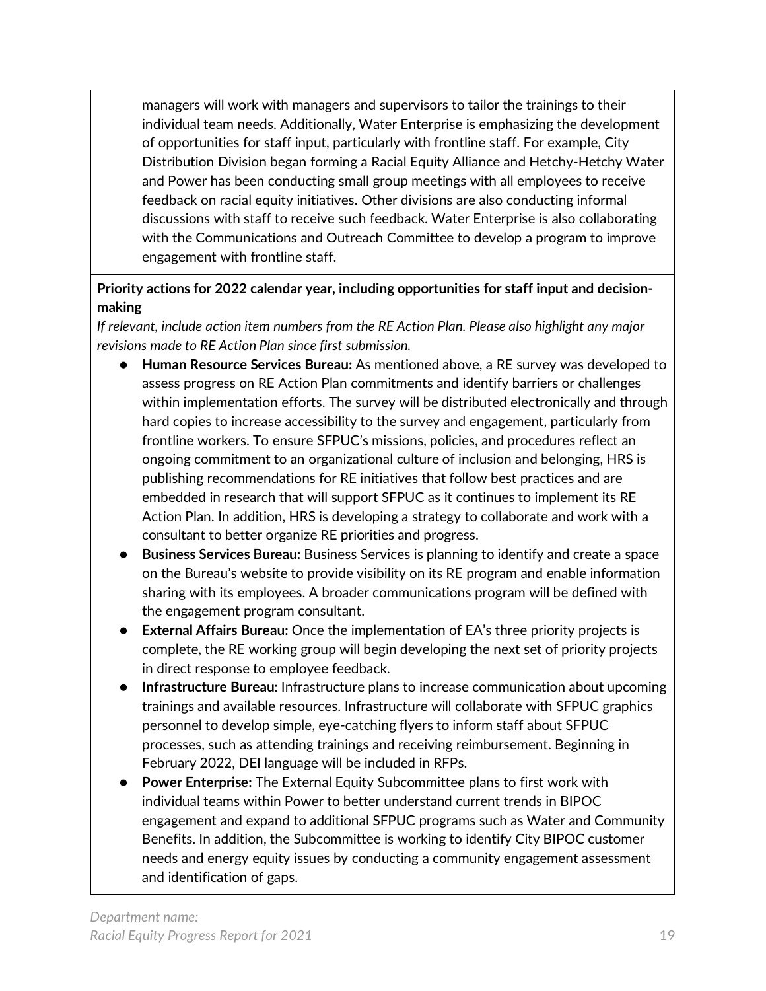managers will work with managers and supervisors to tailor the trainings to their individual team needs. Additionally, Water Enterprise is emphasizing the development of opportunities for staff input, particularly with frontline staff. For example, City Distribution Division began forming a Racial Equity Alliance and Hetchy-Hetchy Water and Power has been conducting small group meetings with all employees to receive feedback on racial equity initiatives. Other divisions are also conducting informal discussions with staff to receive such feedback. Water Enterprise is also collaborating with the Communications and Outreach Committee to develop a program to improve engagement with frontline staff.

#### **Priority actions for 2022 calendar year, including opportunities for staff input and decisionmaking**

*If relevant, include action item numbers from the RE Action Plan. Please also highlight any major revisions made to RE Action Plan since first submission.*

- **Human Resource Services Bureau:** As mentioned above, a RE survey was developed to assess progress on RE Action Plan commitments and identify barriers or challenges within implementation efforts. The survey will be distributed electronically and through hard copies to increase accessibility to the survey and engagement, particularly from frontline workers. To ensure SFPUC's missions, policies, and procedures reflect an ongoing commitment to an organizational culture of inclusion and belonging, HRS is publishing recommendations for RE initiatives that follow best practices and are embedded in research that will support SFPUC as it continues to implement its RE Action Plan. In addition, HRS is developing a strategy to collaborate and work with a consultant to better organize RE priorities and progress.
- **Business Services Bureau:** Business Services is planning to identify and create a space on the Bureau's website to provide visibility on its RE program and enable information sharing with its employees. A broader communications program will be defined with the engagement program consultant.
- **External Affairs Bureau:** Once the implementation of EA's three priority projects is complete, the RE working group will begin developing the next set of priority projects in direct response to employee feedback.
- **Infrastructure Bureau:** Infrastructure plans to increase communication about upcoming trainings and available resources. Infrastructure will collaborate with SFPUC graphics personnel to develop simple, eye-catching flyers to inform staff about SFPUC processes, such as attending trainings and receiving reimbursement. Beginning in February 2022, DEI language will be included in RFPs.
- **Power Enterprise:** The External Equity Subcommittee plans to first work with individual teams within Power to better understand current trends in BIPOC engagement and expand to additional SFPUC programs such as Water and Community Benefits. In addition, the Subcommittee is working to identify City BIPOC customer needs and energy equity issues by conducting a community engagement assessment and identification of gaps.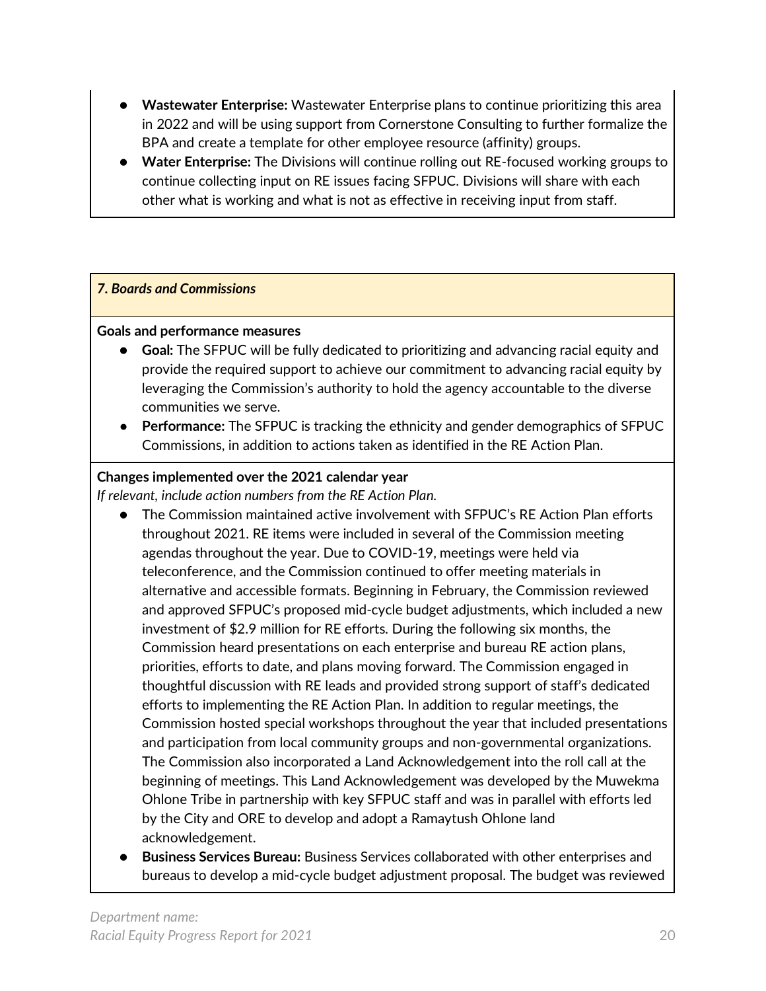- **Wastewater Enterprise:** Wastewater Enterprise plans to continue prioritizing this area in 2022 and will be using support from Cornerstone Consulting to further formalize the BPA and create a template for other employee resource (affinity) groups.
- **Water Enterprise:** The Divisions will continue rolling out RE-focused working groups to continue collecting input on RE issues facing SFPUC. Divisions will share with each other what is working and what is not as effective in receiving input from staff.

#### *7. Boards and Commissions*

#### **Goals and performance measures**

- **Goal:** The SFPUC will be fully dedicated to prioritizing and advancing racial equity and provide the required support to achieve our commitment to advancing racial equity by leveraging the Commission's authority to hold the agency accountable to the diverse communities we serve.
- Performance: The SFPUC is tracking the ethnicity and gender demographics of SFPUC Commissions, in addition to actions taken as identified in the RE Action Plan.

#### **Changes implemented over the 2021 calendar year**

*If relevant, include action numbers from the RE Action Plan.* 

- The Commission maintained active involvement with SFPUC's RE Action Plan efforts throughout 2021. RE items were included in several of the Commission meeting agendas throughout the year. Due to COVID-19, meetings were held via teleconference, and the Commission continued to offer meeting materials in alternative and accessible formats. Beginning in February, the Commission reviewed and approved SFPUC's proposed mid-cycle budget adjustments, which included a new investment of \$2.9 million for RE efforts. During the following six months, the Commission heard presentations on each enterprise and bureau RE action plans, priorities, efforts to date, and plans moving forward. The Commission engaged in thoughtful discussion with RE leads and provided strong support of staff's dedicated efforts to implementing the RE Action Plan. In addition to regular meetings, the Commission hosted special workshops throughout the year that included presentations and participation from local community groups and non-governmental organizations. The Commission also incorporated a Land Acknowledgement into the roll call at the beginning of meetings. This Land Acknowledgement was developed by the Muwekma Ohlone Tribe in partnership with key SFPUC staff and was in parallel with efforts led by the City and ORE to develop and adopt a Ramaytush Ohlone land acknowledgement.
- **Business Services Bureau:** Business Services collaborated with other enterprises and bureaus to develop a mid-cycle budget adjustment proposal. The budget was reviewed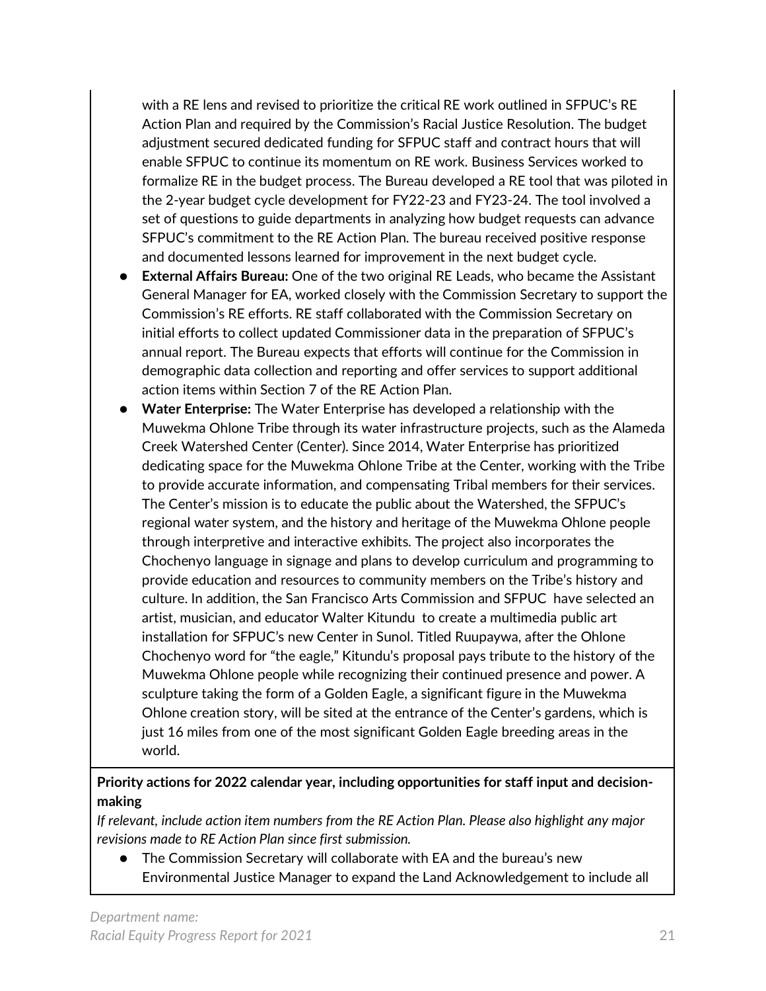with a RE lens and revised to prioritize the critical RE work outlined in SFPUC's RE Action Plan and required by the Commission's Racial Justice Resolution. The budget adjustment secured dedicated funding for SFPUC staff and contract hours that will enable SFPUC to continue its momentum on RE work. Business Services worked to formalize RE in the budget process. The Bureau developed a RE tool that was piloted in the 2-year budget cycle development for FY22-23 and FY23-24. The tool involved a set of questions to guide departments in analyzing how budget requests can advance SFPUC's commitment to the RE Action Plan. The bureau received positive response and documented lessons learned for improvement in the next budget cycle.

- **External Affairs Bureau:** One of the two original RE Leads, who became the Assistant General Manager for EA, worked closely with the Commission Secretary to support the Commission's RE efforts. RE staff collaborated with the Commission Secretary on initial efforts to collect updated Commissioner data in the preparation of SFPUC's annual report. The Bureau expects that efforts will continue for the Commission in demographic data collection and reporting and offer services to support additional action items within Section 7 of the RE Action Plan.
- **Water Enterprise:** The Water Enterprise has developed a relationship with the Muwekma Ohlone Tribe through its water infrastructure projects, such as the Alameda Creek Watershed Center (Center). Since 2014, Water Enterprise has prioritized dedicating space for the Muwekma Ohlone Tribe at the Center, working with the Tribe to provide accurate information, and compensating Tribal members for their services. The Center's mission is to educate the public about the Watershed, the SFPUC's regional water system, and the history and heritage of the Muwekma Ohlone people through interpretive and interactive exhibits. The project also incorporates the Chochenyo language in signage and plans to develop curriculum and programming to provide education and resources to community members on the Tribe's history and culture. In addition, the San Francisco Arts Commission and SFPUC have selected an artist, musician, and educator Walter Kitundu to create a multimedia public art installation for SFPUC's new Center in Sunol. Titled Ruupaywa, after the Ohlone Chochenyo word for "the eagle," Kitundu's proposal pays tribute to the history of the Muwekma Ohlone people while recognizing their continued presence and power. A sculpture taking the form of a Golden Eagle, a significant figure in the Muwekma Ohlone creation story, will be sited at the entrance of the Center's gardens, which is just 16 miles from one of the most significant Golden Eagle breeding areas in the world.

#### **Priority actions for 2022 calendar year, including opportunities for staff input and decisionmaking**

*If relevant, include action item numbers from the RE Action Plan. Please also highlight any major revisions made to RE Action Plan since first submission.*

● The Commission Secretary will collaborate with EA and the bureau's new Environmental Justice Manager to expand the Land Acknowledgement to include all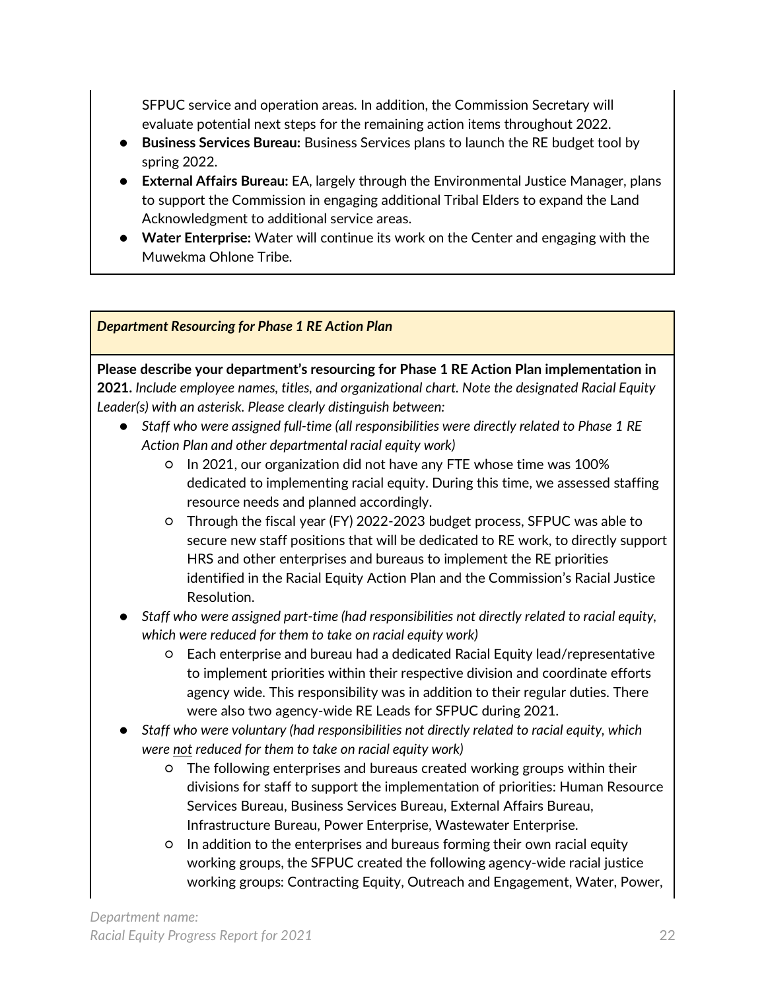SFPUC service and operation areas. In addition, the Commission Secretary will evaluate potential next steps for the remaining action items throughout 2022.

- **Business Services Bureau:** Business Services plans to launch the RE budget tool by spring 2022.
- **External Affairs Bureau:** EA, largely through the Environmental Justice Manager, plans to support the Commission in engaging additional Tribal Elders to expand the Land Acknowledgment to additional service areas.
- **Water Enterprise:** Water will continue its work on the Center and engaging with the Muwekma Ohlone Tribe.

*Department Resourcing for Phase 1 RE Action Plan* 

**Please describe your department's resourcing for Phase 1 RE Action Plan implementation in 2021.** *Include employee names, titles, and organizational chart. Note the designated Racial Equity Leader(s) with an asterisk. Please clearly distinguish between:*

- Staff who were assigned full-time (all responsibilities were directly related to Phase 1 RE *Action Plan and other departmental racial equity work)* 
	- In 2021, our organization did not have any FTE whose time was 100% dedicated to implementing racial equity. During this time, we assessed staffing resource needs and planned accordingly.
	- Through the fiscal year (FY) 2022-2023 budget process, SFPUC was able to secure new staff positions that will be dedicated to RE work, to directly support HRS and other enterprises and bureaus to implement the RE priorities identified in the Racial Equity Action Plan and the Commission's Racial Justice Resolution.
- *Staff who were assigned part-time (had responsibilities not directly related to racial equity, which were reduced for them to take on racial equity work)*
	- Each enterprise and bureau had a dedicated Racial Equity lead/representative to implement priorities within their respective division and coordinate efforts agency wide. This responsibility was in addition to their regular duties. There were also two agency-wide RE Leads for SFPUC during 2021.
- *Staff who were voluntary (had responsibilities not directly related to racial equity, which were not reduced for them to take on racial equity work)*
	- The following enterprises and bureaus created working groups within their divisions for staff to support the implementation of priorities: Human Resource Services Bureau, Business Services Bureau, External Affairs Bureau, Infrastructure Bureau, Power Enterprise, Wastewater Enterprise.
	- In addition to the enterprises and bureaus forming their own racial equity working groups, the SFPUC created the following agency-wide racial justice working groups: Contracting Equity, Outreach and Engagement, Water, Power,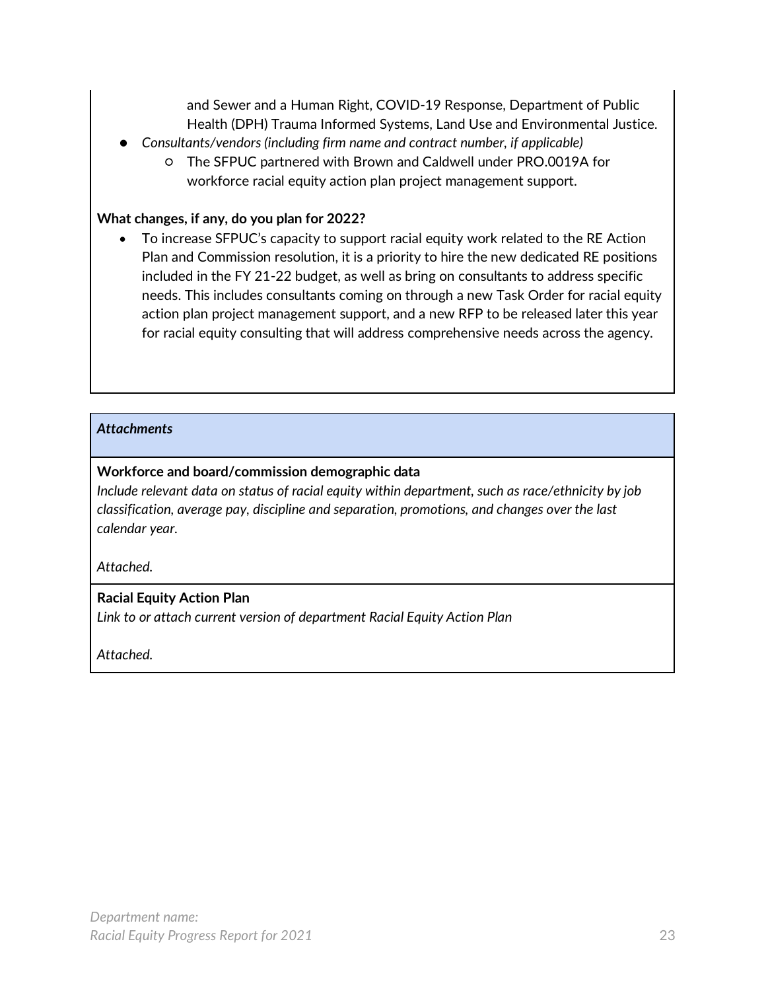and Sewer and a Human Right, COVID-19 Response, Department of Public Health (DPH) Trauma Informed Systems, Land Use and Environmental Justice.

- *Consultants/vendors (including firm name and contract number, if applicable)*
	- The SFPUC partnered with Brown and Caldwell under PRO.0019A for workforce racial equity action plan project management support.

#### **What changes, if any, do you plan for 2022?**

• To increase SFPUC's capacity to support racial equity work related to the RE Action Plan and Commission resolution, it is a priority to hire the new dedicated RE positions included in the FY 21-22 budget, as well as bring on consultants to address specific needs. This includes consultants coming on through a new Task Order for racial equity action plan project management support, and a new RFP to be released later this year for racial equity consulting that will address comprehensive needs across the agency.

#### *Attachments*

#### **Workforce and board/commission demographic data**

*Include relevant data on status of racial equity within department, such as race/ethnicity by job classification, average pay, discipline and separation, promotions, and changes over the last calendar year.* 

*Attached.*

#### **Racial Equity Action Plan**

*Link to or attach current version of department Racial Equity Action Plan*

*Attached.*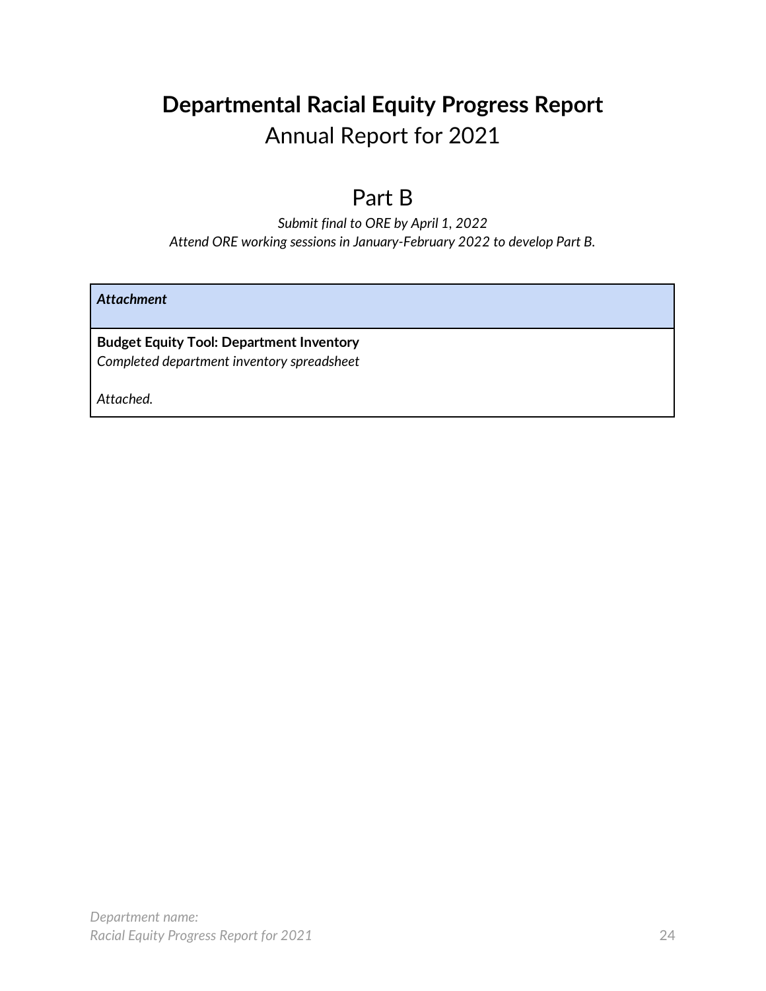### **Departmental Racial Equity Progress Report** Annual Report for 2021

### Part B

*Submit final to ORE by April 1, 2022 Attend ORE working sessions in January-February 2022 to develop Part B.* 

*Attachment*

**Budget Equity Tool: Department Inventory** *Completed department inventory spreadsheet*

*Attached.*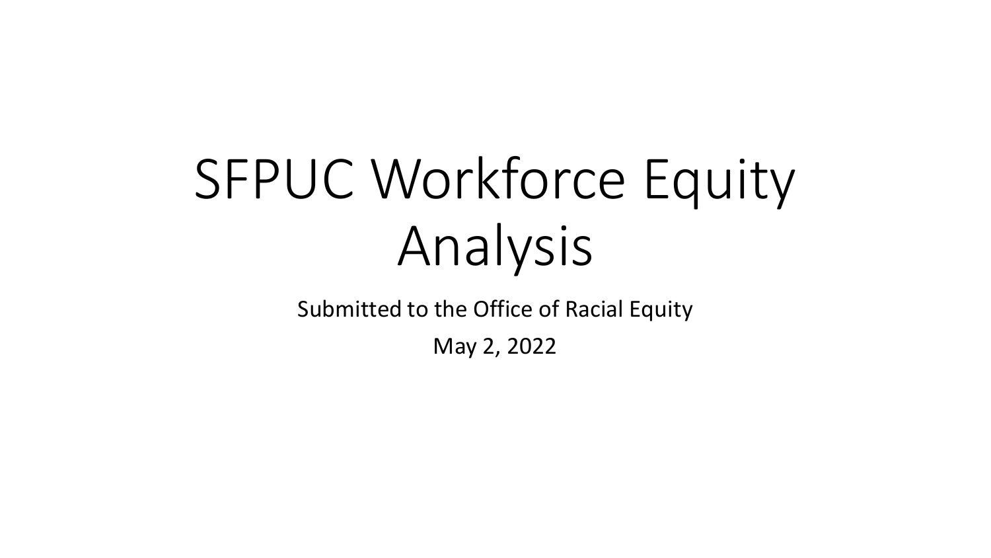# SFPUC Workforce Equity Analysis

Submitted to the Office of Racial Equity

May 2, 2022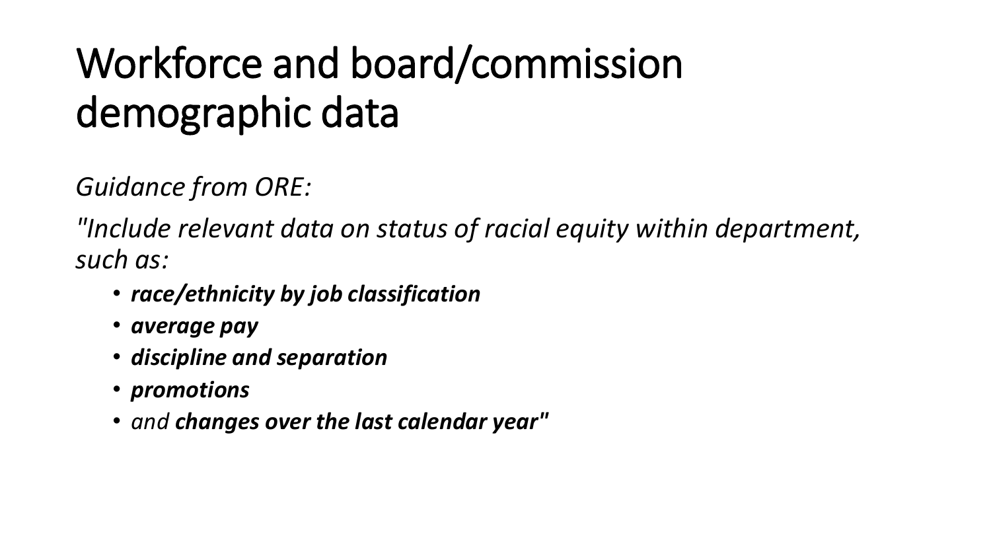## Workforce and board/commission demographic data

*Guidance from ORE:*

*"Include relevant data on status of racial equity within department, such as:*

- *race/ethnicity by job classification*
- *average pay*
- *discipline and separation*
- *promotions*
- *and changes over the last calendar year"*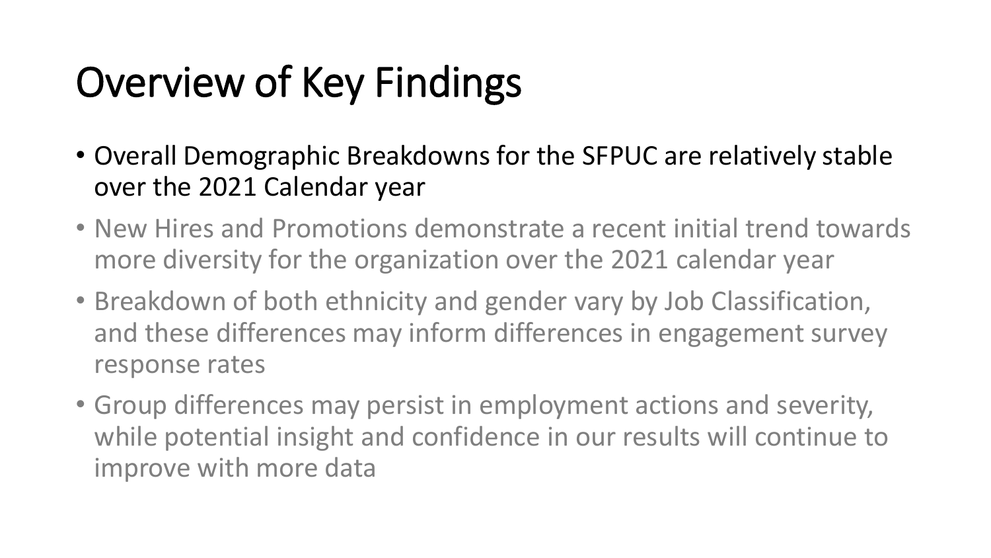## Overview of Key Findings

- Overall Demographic Breakdowns for the SFPUC are relatively stable over the 2021 Calendar year
- New Hires and Promotions demonstrate a recent initial trend towards more diversity for the organization over the 2021 calendar year
- Breakdown of both ethnicity and gender vary by Job Classification, and these differences may inform differences in engagement survey response rates
- Group differences may persist in employment actions and severity, while potential insight and confidence in our results will continue to improve with more data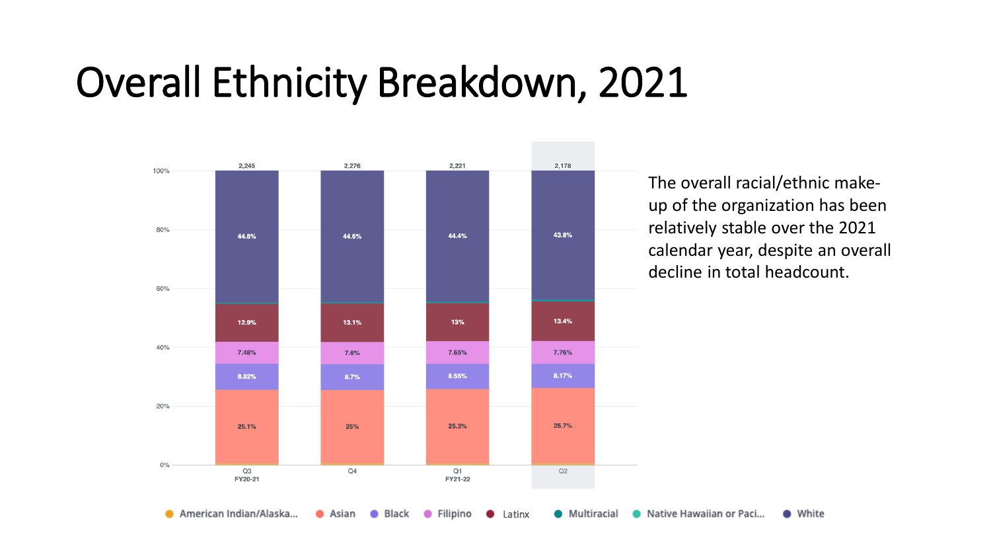### Overall Ethnicity Breakdown, 2021



The overall racial/ethnic makeup of the organization has been relatively stable over the 2021 calendar year, despite an overall decline in total headcount.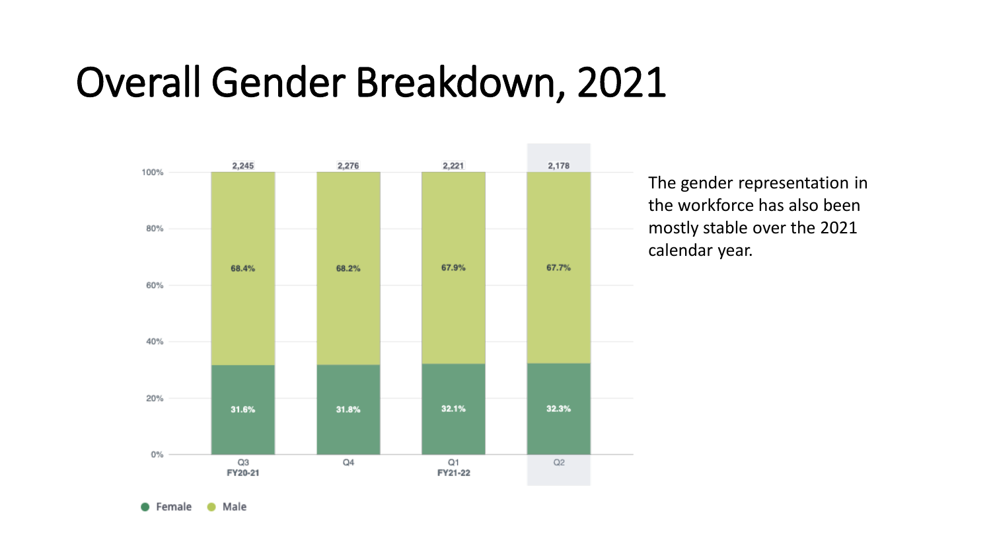### Overall Gender Breakdown, 2021



The gender representation in the workforce has also been mostly stable over the 2021 calendar year.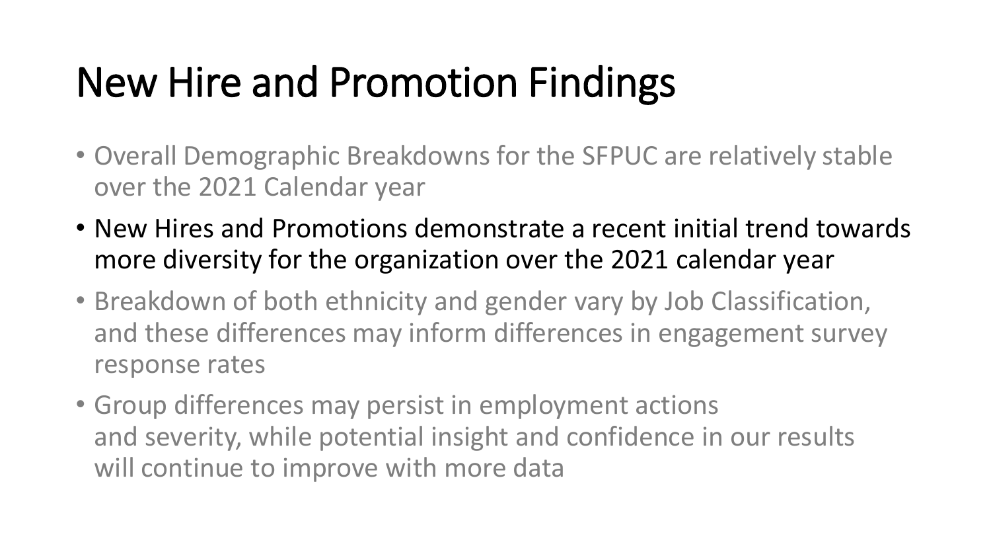### New Hire and Promotion Findings

- Overall Demographic Breakdowns for the SFPUC are relatively stable over the 2021 Calendar year
- New Hires and Promotions demonstrate a recent initial trend towards more diversity for the organization over the 2021 calendar year
- Breakdown of both ethnicity and gender vary by Job Classification, and these differences may inform differences in engagement survey response rates
- Group differences may persist in employment actions and severity, while potential insight and confidence in our results will continue to improve with more data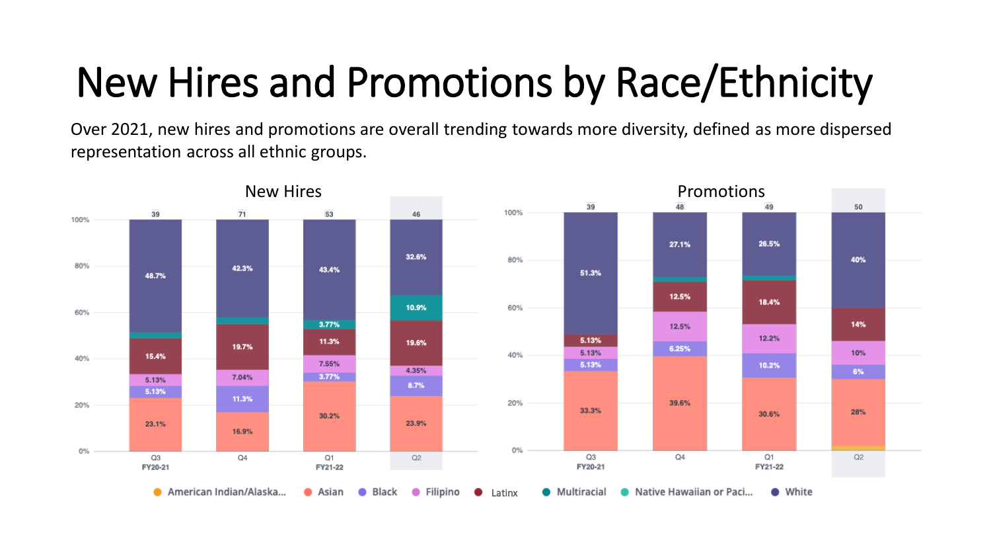## New Hires and Promotions by Race/Ethnicity

Over 2021, new hires and promotions are overall trending towards more diversity, defined as more dispersed representation across all ethnic groups.

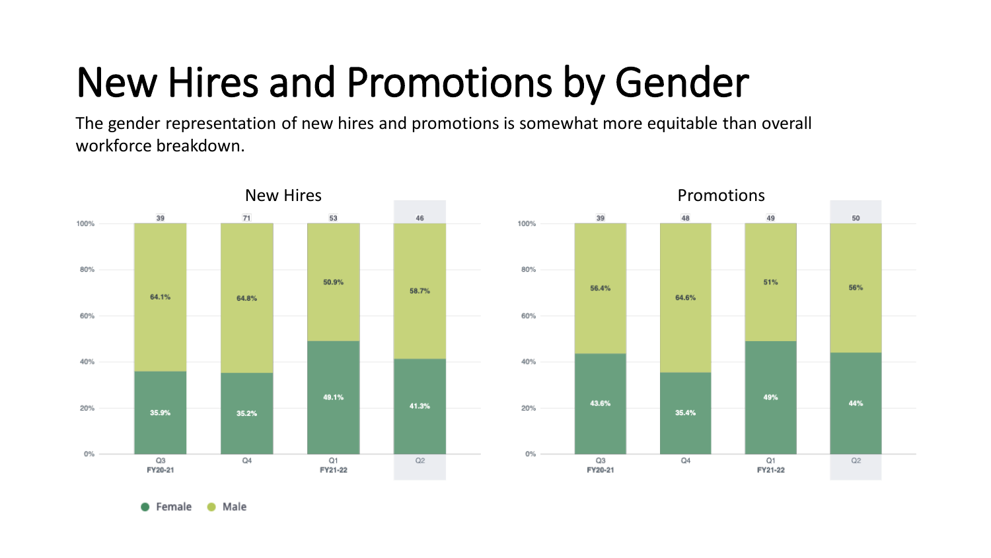## New Hires and Promotions by Gender

The gender representation of new hires and promotions is somewhat more equitable than overall workforce breakdown.

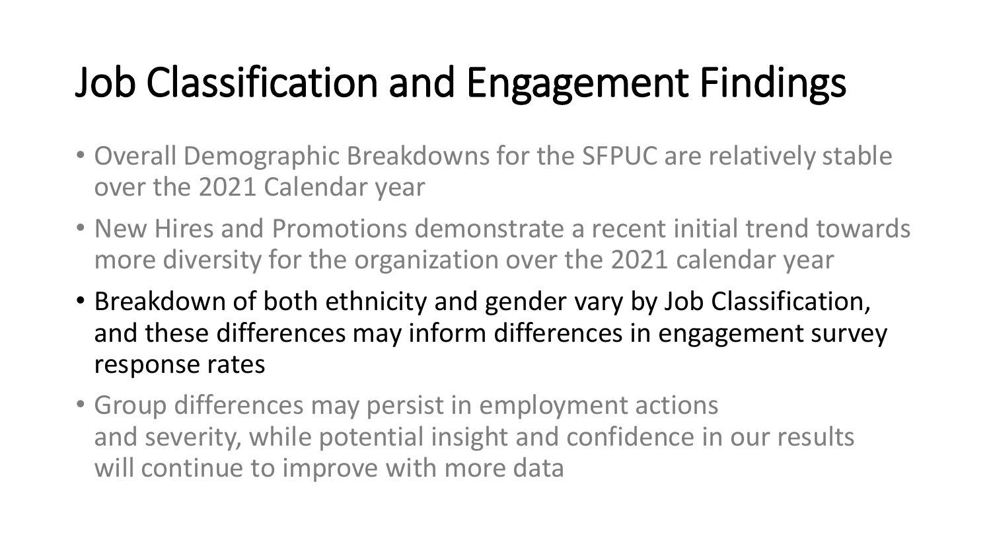## Job Classification and Engagement Findings

- Overall Demographic Breakdowns for the SFPUC are relatively stable over the 2021 Calendar year
- New Hires and Promotions demonstrate a recent initial trend towards more diversity for the organization over the 2021 calendar year
- Breakdown of both ethnicity and gender vary by Job Classification, and these differences may inform differences in engagement survey response rates
- Group differences may persist in employment actions and severity, while potential insight and confidence in our results will continue to improve with more data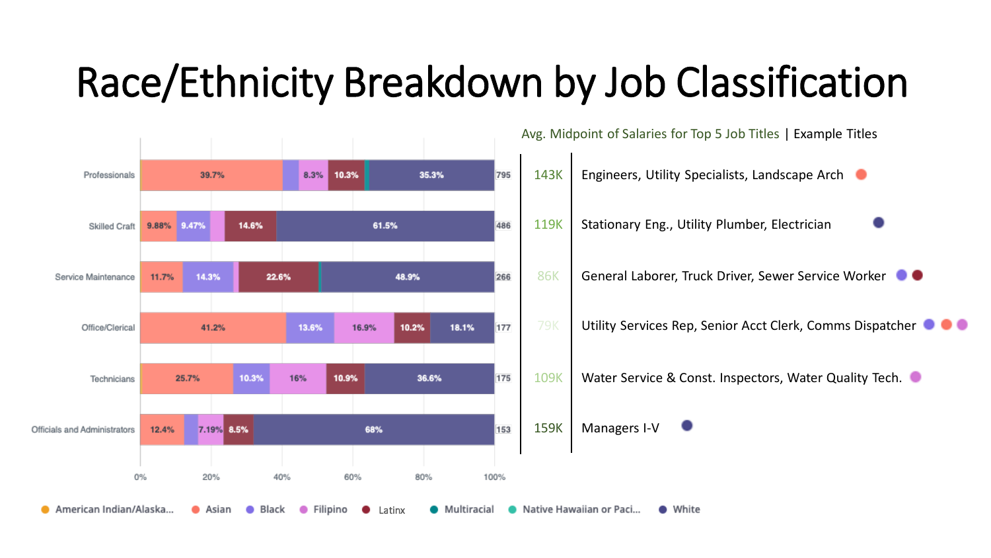### Race/Ethnicity Breakdown by Job Classification

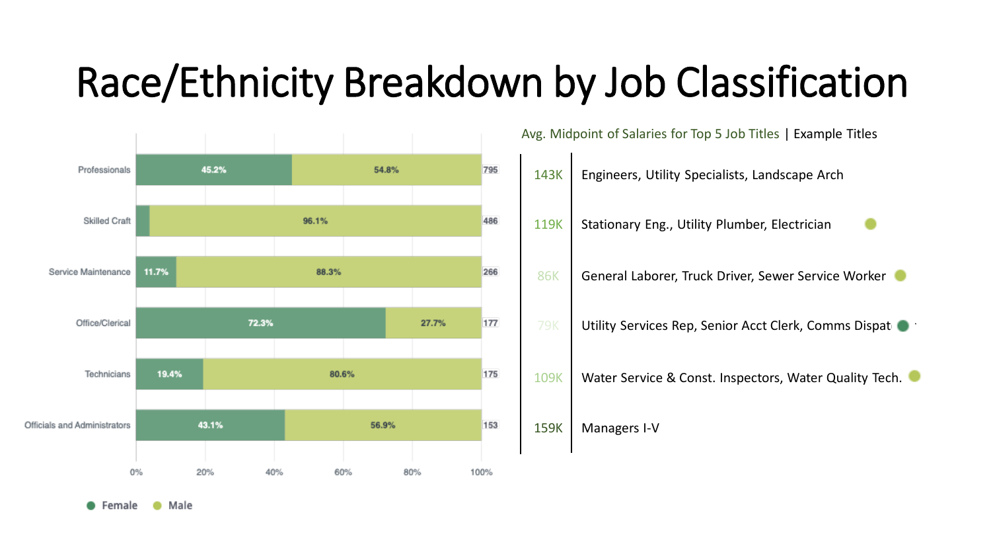### Race/Ethnicity Breakdown by Job Classification



Female Male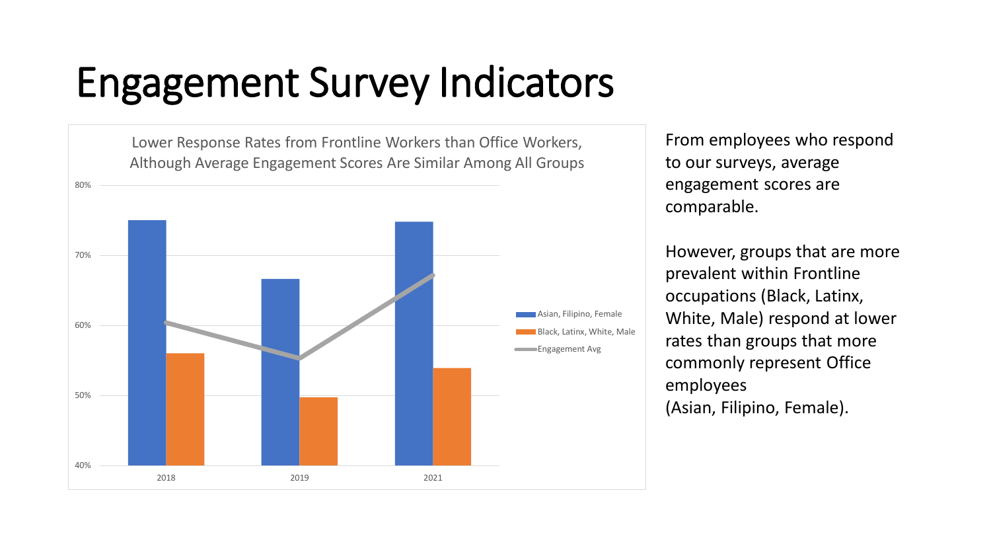### Engagement Survey Indicators

40% 50% 60% 70% 80% Lower Response Rates from Frontline Workers than Office Workers, Although Average Engagement Scores Are Similar Among All Groups Asian, Filipino, Female Black, Latinx, White, Male **Engagement Avg** 

2018 2019 2021

From employees who respond to our surveys, average engagement scores are comparable.

However, groups that are more prevalent within Frontline occupations (Black, Latinx, White, Male) respond at lower rates than groups that more commonly represent Office employees

(Asian, Filipino, Female).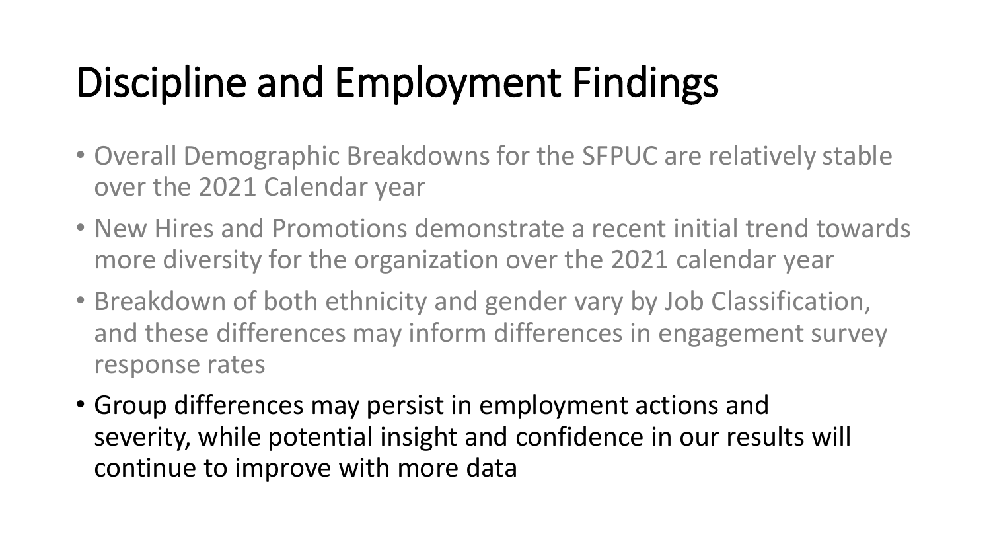## Discipline and Employment Findings

- Overall Demographic Breakdowns for the SFPUC are relatively stable over the 2021 Calendar year
- New Hires and Promotions demonstrate a recent initial trend towards more diversity for the organization over the 2021 calendar year
- Breakdown of both ethnicity and gender vary by Job Classification, and these differences may inform differences in engagement survey response rates
- Group differences may persist in employment actions and severity, while potential insight and confidence in our results will continue to improve with more data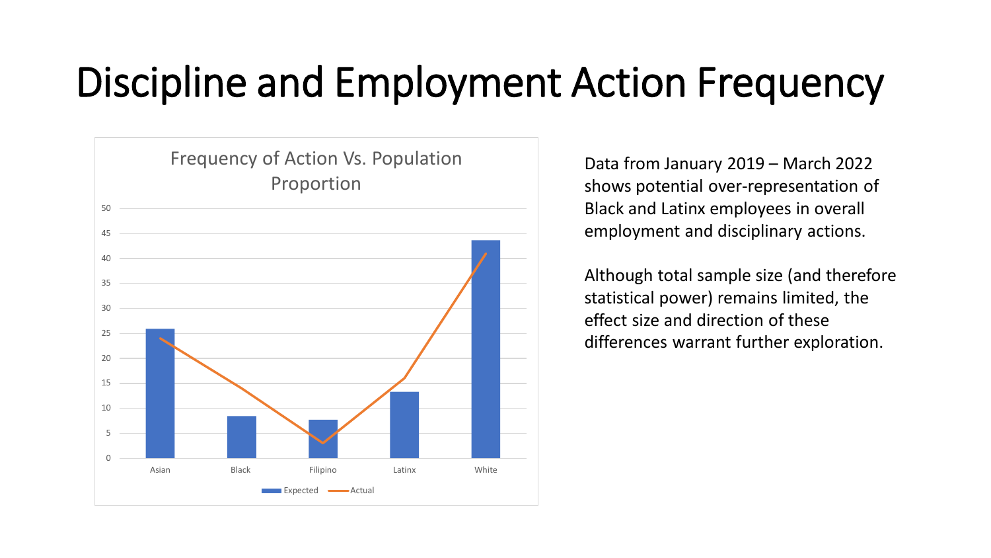### Discipline and Employment Action Frequency



Data from January 2019 – March 2022 shows potential over-representation of Black and Latinx employees in overall employment and disciplinary actions.

Although total sample size (and therefore statistical power) remains limited, the effect size and direction of these differences warrant further exploration.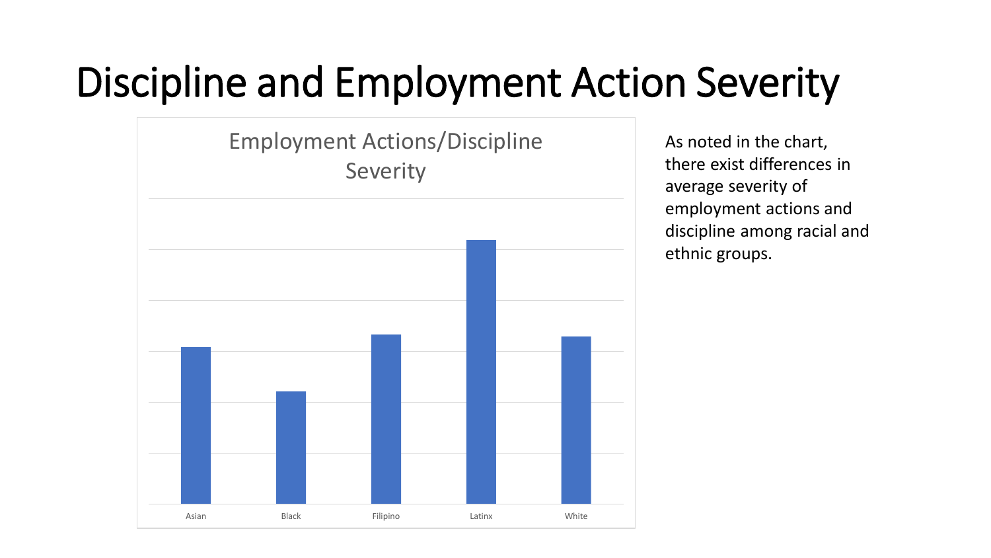### Discipline and Employment Action Severity



As noted in the chart, there exist differences in average severity of employment actions and discipline among racial and ethnic groups.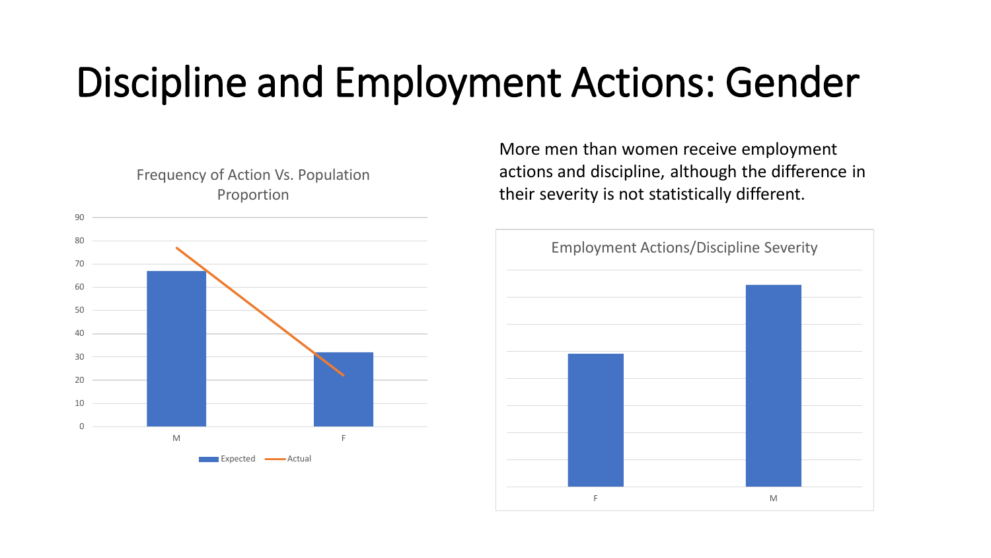### Discipline and Employment Actions: Gender



More men than women receive employment actions and discipline, although the difference in their severity is not statistically different.

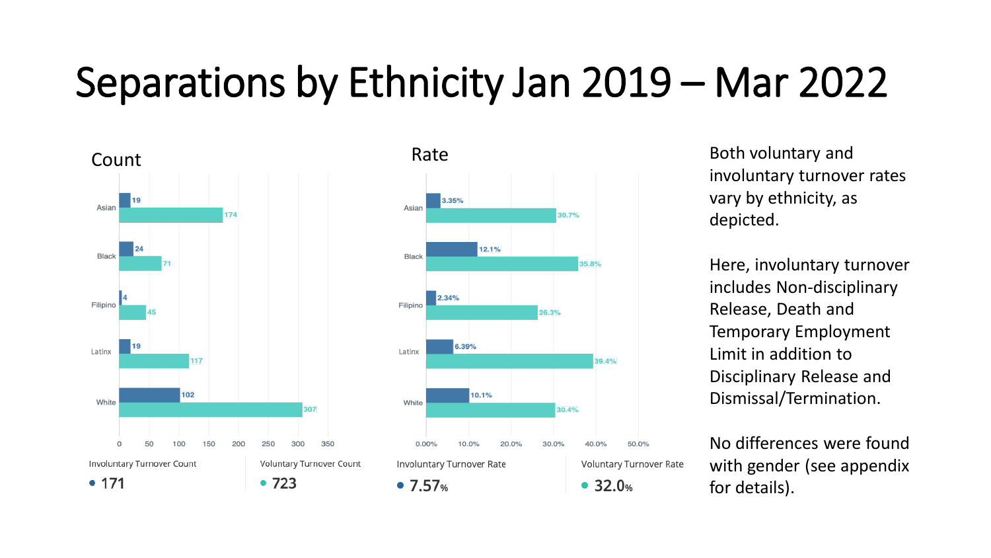### Separations by Ethnicity Jan 2019 – Mar 2022





involuntary turnover rates vary by ethnicity, as depicted.

Here, involuntary turnover includes Non-disciplinary Release, Death and Temporary Employment Limit in addition to Disciplinary Release and Dismissal/Termination.

No differences were found with gender (see appendix for details).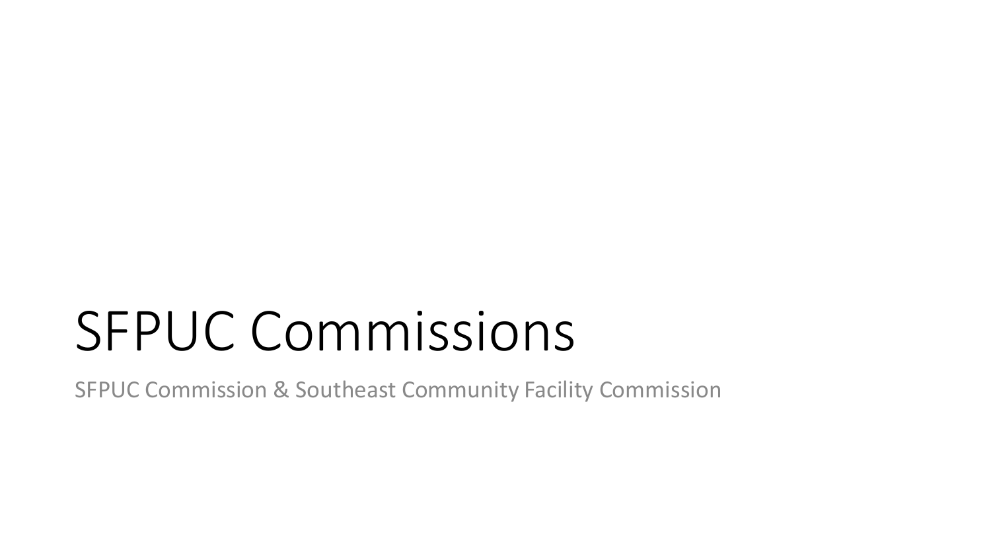# SFPUC Commissions

SFPUC Commission & Southeast Community Facility Commission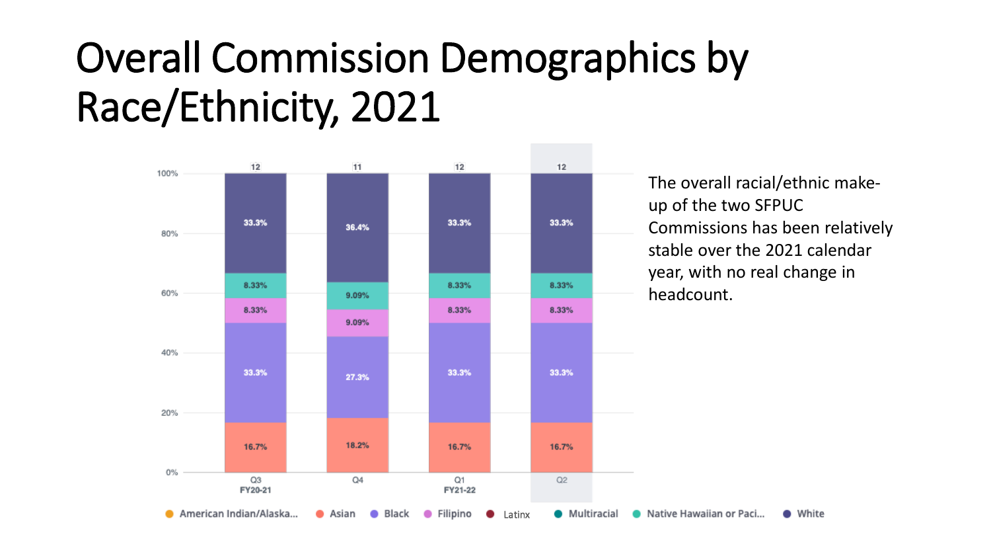### Overall Commission Demographics by Race/Ethnicity, 2021



The overall racial/ethnic makeup of the two SFPUC Commissions has been relatively stable over the 2021 calendar year, with no real change in

• White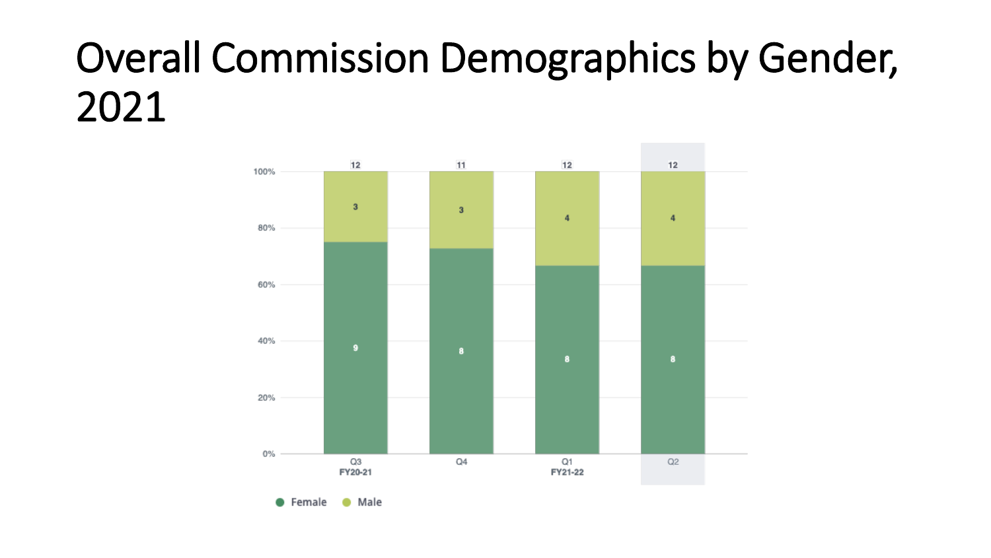### Overall Commission Demographics by Gender, 2021

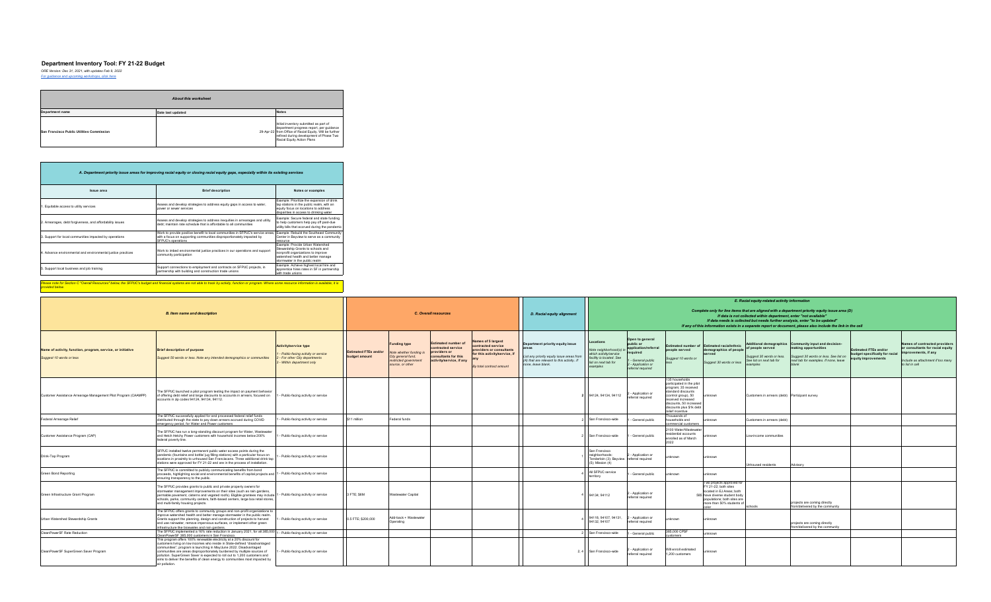#### **Department Inventory Tool: FY 21-22 Budget**

*ORE Version: Dec 31, 2021, with updates Feb 9, 2022 [For guidance and upcoming workshops, click here](https://docs.google.com/presentation/d/1lCfLM1iw5r1GpNomSKrKqgJzJOsd0vVCIa6uNcr4JLc/edit?usp=sharing)*

| About this worksheet                      |                   |                                                                                                                                                                                                                        |  |  |  |  |  |  |  |  |
|-------------------------------------------|-------------------|------------------------------------------------------------------------------------------------------------------------------------------------------------------------------------------------------------------------|--|--|--|--|--|--|--|--|
| Department name                           | Date last updated | <b>Notes</b>                                                                                                                                                                                                           |  |  |  |  |  |  |  |  |
| San Francisco Public Utilities Commission |                   | Initial inventory submitted as part of<br>department progress report, per guidance<br>29-Apr-22 from Office of Racial Equity. Will be further<br>refined during development of Phase Two<br>Racial Equity Action Plans |  |  |  |  |  |  |  |  |

| A. Department priority issue areas for improving racial equity or closing racial equity gaps, especially within its existing services |                                                                                                                                                                                |                                                                                                                                                                                     |  |  |  |  |  |  |  |  |  |
|---------------------------------------------------------------------------------------------------------------------------------------|--------------------------------------------------------------------------------------------------------------------------------------------------------------------------------|-------------------------------------------------------------------------------------------------------------------------------------------------------------------------------------|--|--|--|--|--|--|--|--|--|
| Issue area                                                                                                                            | <b>Brief description</b>                                                                                                                                                       | Notes or examples                                                                                                                                                                   |  |  |  |  |  |  |  |  |  |
| . Equitable access to utility services                                                                                                | Assess and develop strategies to address equity gaps in access to water,<br>DOWED OF SEWED SERVICES.                                                                           | Example: Prioritize the expansion of drink<br>tap stations in the public realm, with an<br>equity focus on locations to address<br>disparities in access to drinking water          |  |  |  |  |  |  |  |  |  |
| 2. Arrearages, debt forgiveness, and affordability issues                                                                             | Assess and develop strategies to address inequities in arrearages and utility<br>debt: maintain rate schedule that is affordable to all communities                            | Example: Secure federal and state funding<br>to help customers help pay off past-due<br>utility bills that accrued during the pandemic                                              |  |  |  |  |  |  |  |  |  |
| 3. Support for local communities impacted by operations                                                                               | Work to provide positive benefit to local communities in SFPUC's service areas,<br>with a focus on supporting communities disproportionately impacted by<br>SFPUC's operations | Example: Rebuild the Southeast Community<br>Center in Bayview to serve as a community<br><b>FRSQUICS</b>                                                                            |  |  |  |  |  |  |  |  |  |
| 4. Advance environmental and environmental justice practices                                                                          | Work to imbed environmental justice practices in our operations and support<br>community participation                                                                         | Example: Provide Urban Watershed<br>Stewardship Grants to schools and<br>nonprofit organizations to improve<br>watershed health and better manage<br>stormwater in the public realm |  |  |  |  |  |  |  |  |  |
| 5. Support local business and job training                                                                                            | Support connections to employment and contracts on SFPUC projects, in<br>partnership with building and construction trade unions                                               | Example: Achieve highest local hire and<br>apprentice hires rates in SF in partnership<br>with trade unions.                                                                        |  |  |  |  |  |  |  |  |  |

Please note for Section C "Overall Resources" below, the SFPUC's budget and financial systems are not able to track by activity, function or program. Where some resource information is available, it is<br>provided below.

|                                                                                         |                                                                                                                                                                                                                                                                                                                                                                                                                                                                                      |                                                                                                                               |                                               |                                                                                                                  |                                                                                                                     |                                                                                                                                   |                                                                                                                                                                   | E. Racial equity-related activity information                                                                                                                                                                                                                                                                                                                       |                                                                                                                               |                                                                                                                                                                                                                  |                                                                                                                                                                             |                                                                                       |                                                                                                                                                                 |                                                                               |                                                                                                                                                   |  |
|-----------------------------------------------------------------------------------------|--------------------------------------------------------------------------------------------------------------------------------------------------------------------------------------------------------------------------------------------------------------------------------------------------------------------------------------------------------------------------------------------------------------------------------------------------------------------------------------|-------------------------------------------------------------------------------------------------------------------------------|-----------------------------------------------|------------------------------------------------------------------------------------------------------------------|---------------------------------------------------------------------------------------------------------------------|-----------------------------------------------------------------------------------------------------------------------------------|-------------------------------------------------------------------------------------------------------------------------------------------------------------------|---------------------------------------------------------------------------------------------------------------------------------------------------------------------------------------------------------------------------------------------------------------------------------------------------------------------------------------------------------------------|-------------------------------------------------------------------------------------------------------------------------------|------------------------------------------------------------------------------------------------------------------------------------------------------------------------------------------------------------------|-----------------------------------------------------------------------------------------------------------------------------------------------------------------------------|---------------------------------------------------------------------------------------|-----------------------------------------------------------------------------------------------------------------------------------------------------------------|-------------------------------------------------------------------------------|---------------------------------------------------------------------------------------------------------------------------------------------------|--|
| <b>B.</b> Item name and description                                                     |                                                                                                                                                                                                                                                                                                                                                                                                                                                                                      |                                                                                                                               |                                               | <b>C. Overall resources</b>                                                                                      |                                                                                                                     |                                                                                                                                   | D. Racial equity alignment                                                                                                                                        | Complete only for line items that are aligned with a department priority equity issue area (D)<br>If data is not collected within department, enter "not available"<br>If data needs is collected but needs further analysis, enter "to be updated"<br>If any of this information exists in a separate report or document, please also include the link in the cell |                                                                                                                               |                                                                                                                                                                                                                  |                                                                                                                                                                             |                                                                                       |                                                                                                                                                                 |                                                                               |                                                                                                                                                   |  |
| Name of activity, function, program, service, or initiative<br>Suggest 10 words or less | <b>Brief description of purpose</b><br>Suggest 50 words or less. Note any intended demographics or communities                                                                                                                                                                                                                                                                                                                                                                       | <b>Activity/service type</b><br>Public-facing activity or service<br>- For other City departments<br>- Within department only | <b>Estimated FTEs and/or</b><br>budget amount | <b>Funding type</b><br>Note whether funding i<br>City general fund,<br>restricted government<br>source, or other | <b>Estimated number of</b><br>ontracted service<br>providers or<br>consultants for this<br>activity/service, if any | Names of 5 largest<br>contracted service<br>providers or consultants<br>for this activity/service, if<br>By total contract amount | Department priority equity issue<br><b>Areas</b><br>List any priority equity issue areas fron<br>(A) that are relevant to this activity. If<br>none, leave blank. | Locations<br>Note neighborhood(s) ii<br>which activity/service<br>facility is located. See<br>list on next tab for<br>examples                                                                                                                                                                                                                                      | Open to general<br>public or<br>application/referral<br>required<br>- General public<br>- Application or<br>referral required | people served<br>Suggest 10 words or                                                                                                                                                                             | Estimated number of Estimated racial/ethnic<br>demographics of people<br>Suggest 30 words or less                                                                           | of people served<br>Suggest 30 words or less.<br>See list on next tab for<br>examples | Additional demographics Community input and decision-<br>making opportunities<br>Suggest 30 words or less. See list on<br>next tab for examples. If none, leave | Estimated FTEs and/or<br>budget specifically for racial<br>quity improvements | Names of contracted providers<br>or consultants for racial equity<br>improvements, if any<br>Include as attachment if too many<br>to list in cell |  |
| Customer Assistance Arrearage Management Pilot Program (CAAMPP)                         | The SFPUC launched a pilot program testing the impact on payment behavior<br>of offering debt relief and large discounts to accounts in arrears, focused on 1 - Public-facing activity or service<br>accounts in zip codes 94124, 94134, 94112.                                                                                                                                                                                                                                      |                                                                                                                               |                                               |                                                                                                                  |                                                                                                                     |                                                                                                                                   |                                                                                                                                                                   | 94124, 94134, 94112                                                                                                                                                                                                                                                                                                                                                 | Application or<br>eferral required                                                                                            | 135 households<br>participated in the pilot<br>program; 35 received<br>standard discounts<br>(control group), 50<br>received increased<br>discounts, 50 increased<br>discounts plus \$1k debt<br>elief incentive | unknown                                                                                                                                                                     | Customers in arrears (debt) Participant survey                                        |                                                                                                                                                                 |                                                                               |                                                                                                                                                   |  |
| Federal Arrearage Relief                                                                | The SFPUC successfully applied for and processed federal relief funds<br>distributed through the state to pay down arrears accrued during COVID<br>emergency period, for Water and Power customers                                                                                                                                                                                                                                                                                   | - Public-facing activity or service                                                                                           | \$11 million                                  | Federal funds                                                                                                    |                                                                                                                     |                                                                                                                                   |                                                                                                                                                                   | San Francisco-wide                                                                                                                                                                                                                                                                                                                                                  | General public                                                                                                                | housands of<br>households and<br>mmercial customers                                                                                                                                                              | ınknown                                                                                                                                                                     | Customers in arrears (debt)                                                           |                                                                                                                                                                 |                                                                               |                                                                                                                                                   |  |
| Customer Assistance Program (CAP)                                                       | The SFPUC has run a long-standing discount program for Water, Wastewater<br>and Hetch Hetchy Power customers with household incomes below 200%<br>federal poverty line.                                                                                                                                                                                                                                                                                                              | - Public-facing activity or service                                                                                           |                                               |                                                                                                                  |                                                                                                                     |                                                                                                                                   |                                                                                                                                                                   | San Francisco-wide                                                                                                                                                                                                                                                                                                                                                  | General public                                                                                                                | 2100 Water/Wastewate<br>esidential accounts<br>enrolled as of March<br>2022                                                                                                                                      | inknown                                                                                                                                                                     | Low-income communities                                                                |                                                                                                                                                                 |                                                                               |                                                                                                                                                   |  |
| Drink-Tap Program                                                                       | SFPUC installed twelve permanent public water access points during the<br>pandemic (fountains and bottle/ jug filling stations) with a particular focus on<br>locations in proximity to unhoused San Franciscans. Three additional drink tap<br>stations were approved for FY 21-22 and are in the process of installation.                                                                                                                                                          | Public-facing activity or service                                                                                             |                                               |                                                                                                                  |                                                                                                                     |                                                                                                                                   |                                                                                                                                                                   | San Francisco<br>neighborhoods:<br>Tenderloin (3); Bayview<br>$(5)$ : Mission $(4)$                                                                                                                                                                                                                                                                                 | Application or<br>referral required                                                                                           | nknown                                                                                                                                                                                                           | unknown                                                                                                                                                                     | Unhoused residents                                                                    | Advisory                                                                                                                                                        |                                                                               |                                                                                                                                                   |  |
| Green Bond Reporting                                                                    | The SFPUC is committed to publicly communicating benefits from bond<br>proceeds, highlighting social and environmental benefits of capital projects and 1 - Public-facing activity or service<br>ensuring transparency to the public.                                                                                                                                                                                                                                                |                                                                                                                               |                                               |                                                                                                                  |                                                                                                                     |                                                                                                                                   |                                                                                                                                                                   | All SFPUC service<br>territory                                                                                                                                                                                                                                                                                                                                      | General public                                                                                                                | unknown                                                                                                                                                                                                          | unknown                                                                                                                                                                     |                                                                                       |                                                                                                                                                                 |                                                                               |                                                                                                                                                   |  |
| Green Infrastructure Grant Program                                                      | The SFPUC provides grants to public and private property owners for<br>stormwater management improvements on their sites (such as rain gardens,<br>permable pavement, cisterns and vegated roofs). Eligible grantees may include 1 - Public-facing activity or service<br>schools, parks, community centers, faith-based centers, large box retail stores,<br>and multi-family housing projects.                                                                                     |                                                                                                                               | 3 FTE: S6M                                    | Wastewater Capital                                                                                               |                                                                                                                     |                                                                                                                                   |                                                                                                                                                                   | 94134: 94112                                                                                                                                                                                                                                                                                                                                                        | Application or<br>referral required                                                                                           |                                                                                                                                                                                                                  | Two projects approved for<br>FY 21-22; both sites<br>located in EJ Areas; both<br>585 have diverse student body<br>populations; both sites are<br>more than 50% students of | schools                                                                               | projects are coming directly<br>from/delivered by the community                                                                                                 |                                                                               |                                                                                                                                                   |  |
| Urban Watershed Stewardship Grants                                                      | The SFPUC offers grants to community groups and non-profit organizations to<br>improve watershed health and better manage stormwater in the public realm.<br>Grants support the planning, design and construction of projects to harvest<br>and use rainwater, remove impervious surfaces, or implement other green<br>infrastructure like bioswales and rain gardens.                                                                                                               | - Public-facing activity or service                                                                                           | 0.5 FTE; \$200,000                            | Add-back + Wastewater<br>Operating                                                                               |                                                                                                                     |                                                                                                                                   |                                                                                                                                                                   | 94118.94107.94131.<br>94132, 94107                                                                                                                                                                                                                                                                                                                                  | - Application or<br>referral required                                                                                         | inknown                                                                                                                                                                                                          | unknown                                                                                                                                                                     |                                                                                       | projects are coming directly<br>from/delivered by the community                                                                                                 |                                                                               |                                                                                                                                                   |  |
| CleanPowerSF Rate Reduction                                                             | The SFPUC implemented a 16% rate reduction in January 2021, for all 385,000 1 - Public-facing activity or service<br>CleanPowerSF 385,000 customers in San Francisco                                                                                                                                                                                                                                                                                                                 |                                                                                                                               |                                               |                                                                                                                  |                                                                                                                     |                                                                                                                                   |                                                                                                                                                                   | San Francisco-wide                                                                                                                                                                                                                                                                                                                                                  | General public                                                                                                                | 885,000 CPSF                                                                                                                                                                                                     | unknown                                                                                                                                                                     |                                                                                       |                                                                                                                                                                 |                                                                               |                                                                                                                                                   |  |
| CleanPowerSF SuperGreen Saver Program                                                   | This program offers 100% renewable electricity at a 20% discount for<br>customers living on low incomes who reside in State-defined "disadvantaged<br>communities"; program is launching in May/June 2022. Disadvantaged<br>communities are areas disproportionately burdened by multiple sources of<br>pollution. SuperGreen Saver is expected to roll out to 1,200 customers and<br>aims to deliver the benefits of clean energy to communities most impacted by<br>air pollution. | - Public-facing activity or service                                                                                           |                                               |                                                                                                                  |                                                                                                                     |                                                                                                                                   |                                                                                                                                                                   | 2, 4 San Francisco-wide                                                                                                                                                                                                                                                                                                                                             | Application or<br>referral required                                                                                           | Will enroll estimated<br>1.200 customers                                                                                                                                                                         | unknown                                                                                                                                                                     |                                                                                       |                                                                                                                                                                 |                                                                               |                                                                                                                                                   |  |